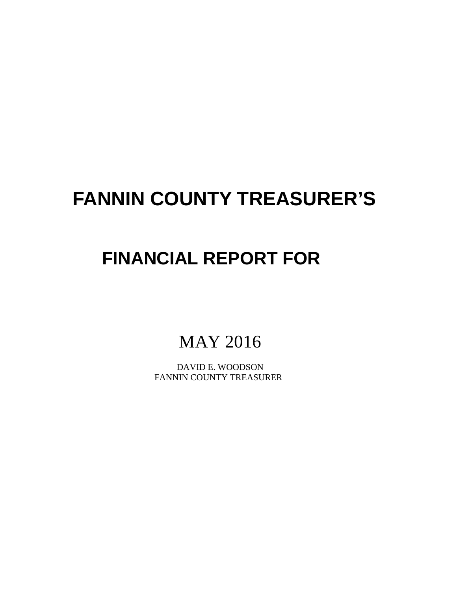# **FANNIN COUNTY TREASURER'S**

## **FINANCIAL REPORT FOR**

MAY 2016

 DAVID E. WOODSON FANNIN COUNTY TREASURER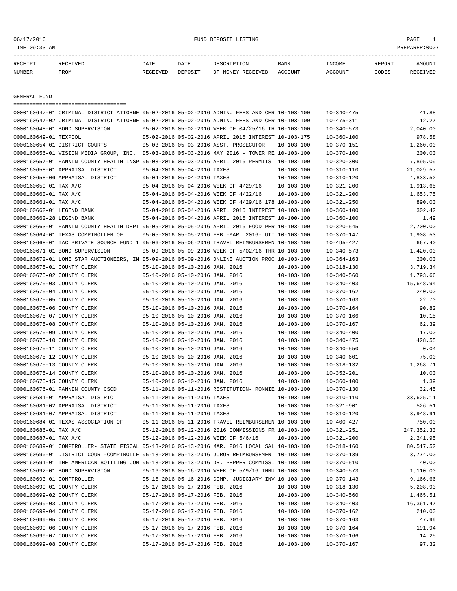06/17/2016 FUND DEPOSIT LISTING PAGE 1

| RECEIPT       | <b>RECEIVED</b> | DATE     | DATE    | DESCRIPTION       | BANK    | INCOME         | REPORT | AMOUNT          |
|---------------|-----------------|----------|---------|-------------------|---------|----------------|--------|-----------------|
| <b>NUMBER</b> | FROM            | RECEIVED | DEPOSIT | OF MONEY RECEIVED | ACCOUNT | <b>ACCOUNT</b> | CODES  | <b>RECEIVED</b> |
|               |                 |          |         |                   |         |                |        |                 |

GENERAL FUND

|                            | ====================================                                                         |                                                            |                                                      |                  |                  |             |
|----------------------------|----------------------------------------------------------------------------------------------|------------------------------------------------------------|------------------------------------------------------|------------------|------------------|-------------|
|                            | 0000160647-01 CRIMINAL DISTRICT ATTORNE 05-02-2016 05-02-2016 ADMIN. FEES AND CER 10-103-100 |                                                            |                                                      |                  | $10 - 340 - 475$ | 41.88       |
|                            | 0000160647-02 CRIMINAL DISTRICT ATTORNE 05-02-2016 05-02-2016 ADMIN. FEES AND CER 10-103-100 |                                                            |                                                      |                  | $10 - 475 - 311$ | 12.27       |
|                            | 0000160648-01 BOND SUPERVISION                                                               |                                                            | 05-02-2016 05-02-2016 WEEK OF 04/25/16 TH 10-103-100 |                  | $10 - 340 - 573$ | 2,040.00    |
| 0000160649-01 TEXPOOL      |                                                                                              |                                                            | 05-02-2016 05-02-2016 APRIL 2016 INTEREST 10-103-175 |                  | $10 - 360 - 100$ | 978.58      |
|                            | 0000160654-01 DISTRICT COURTS                                                                |                                                            | 05-03-2016 05-03-2016 ASST. PROSECUTOR               | 10-103-100       | $10 - 370 - 151$ | 1,260.00    |
|                            | 0000160656-01 VISION MEDIA GROUP, INC. 05-03-2016 05-03-2016 MAY 2016 - TOWER RE 10-103-100  |                                                            |                                                      |                  | $10 - 370 - 100$ | 200.00      |
|                            | 0000160657-01 FANNIN COUNTY HEALTH INSP 05-03-2016 05-03-2016 APRIL 2016 PERMITS 10-103-100  |                                                            |                                                      |                  | $10 - 320 - 300$ | 7,895.09    |
|                            | 0000160658-01 APPRAISAL DISTRICT                                                             | 05-04-2016 05-04-2016 TAXES                                |                                                      | $10 - 103 - 100$ | $10 - 310 - 110$ | 21,029.57   |
|                            | 0000160658-06 APPRAISAL DISTRICT                                                             | 05-04-2016 05-04-2016 TAXES                                |                                                      | $10 - 103 - 100$ | $10 - 310 - 120$ | 4,833.52    |
| 0000160659-01 TAX A/C      |                                                                                              |                                                            | 05-04-2016 05-04-2016 WEEK OF 4/29/16                | $10 - 103 - 100$ | $10 - 321 - 200$ | 1,913.65    |
| 0000160660-01 TAX A/C      |                                                                                              |                                                            | 05-04-2016 05-04-2016 WEEK OF 4/22/16                | $10 - 103 - 100$ | $10 - 321 - 200$ | 1,653.75    |
| 0000160661-01 TAX A/C      |                                                                                              |                                                            | 05-04-2016 05-04-2016 WEEK OF 4/29/16 178 10-103-100 |                  | $10 - 321 - 250$ | 890.00      |
| 0000160662-01 LEGEND BANK  |                                                                                              |                                                            | 05-04-2016 05-04-2016 APRIL 2016 INTEREST 10-103-100 |                  | $10 - 360 - 100$ | 302.42      |
| 0000160662-28 LEGEND BANK  |                                                                                              |                                                            | 05-04-2016 05-04-2016 APRIL 2016 INTEREST 10-100-100 |                  | $10 - 360 - 100$ | 1.49        |
|                            | 0000160663-01 FANNIN COUNTY HEALTH DEPT 05-05-2016 05-05-2016 APRIL 2016 FOOD PER 10-103-100 |                                                            |                                                      |                  | $10 - 320 - 545$ | 2,700.00    |
|                            | 0000160664-01 TEXAS COMPTROLLER OF                                                           |                                                            | 05-05-2016 05-05-2016 FEB.-MAR. 2016- UTI 10-103-100 |                  | $10 - 370 - 147$ | 1,908.53    |
|                            | 0000160668-01 TAC PRIVATE SOURCE FUND 1 05-06-2016 05-06-2016 TRAVEL REIMBURSEMEN 10-103-100 |                                                            |                                                      |                  | $10 - 495 - 427$ | 667.40      |
|                            | 0000160671-01 BOND SUPERVISION                                                               |                                                            | 05-09-2016 05-09-2016 WEEK OF 5/02/16 THR 10-103-100 |                  | $10 - 340 - 573$ | 1,420.00    |
|                            | 0000160672-01 LONE STAR AUCTIONEERS, IN 05-09-2016 05-09-2016 ONLINE AUCTION PROC 10-103-100 |                                                            |                                                      |                  | $10 - 364 - 163$ | 200.00      |
| 0000160675-01 COUNTY CLERK |                                                                                              | 05-10-2016 05-10-2016 JAN. 2016                            |                                                      | $10 - 103 - 100$ | $10 - 318 - 130$ | 3,719.34    |
| 0000160675-02 COUNTY CLERK |                                                                                              | 05-10-2016 05-10-2016 JAN. 2016                            |                                                      | $10 - 103 - 100$ | $10 - 340 - 560$ | 1,793.66    |
| 0000160675-03 COUNTY CLERK |                                                                                              | 05-10-2016 05-10-2016 JAN. 2016                            |                                                      | $10 - 103 - 100$ | $10 - 340 - 403$ | 15,648.94   |
| 0000160675-04 COUNTY CLERK |                                                                                              | 05-10-2016 05-10-2016 JAN. 2016                            |                                                      | $10 - 103 - 100$ | $10 - 370 - 162$ | 240.00      |
| 0000160675-05 COUNTY CLERK |                                                                                              | 05-10-2016 05-10-2016 JAN. 2016                            |                                                      | $10 - 103 - 100$ | $10 - 370 - 163$ | 22.70       |
| 0000160675-06 COUNTY CLERK |                                                                                              | 05-10-2016 05-10-2016 JAN. 2016                            |                                                      | $10 - 103 - 100$ | $10 - 370 - 164$ | 90.82       |
| 0000160675-07 COUNTY CLERK |                                                                                              | 05-10-2016 05-10-2016 JAN. 2016                            |                                                      | $10 - 103 - 100$ | $10 - 370 - 166$ | 10.15       |
| 0000160675-08 COUNTY CLERK |                                                                                              | 05-10-2016 05-10-2016 JAN. 2016                            |                                                      | $10 - 103 - 100$ | $10 - 370 - 167$ | 62.39       |
| 0000160675-09 COUNTY CLERK |                                                                                              | 05-10-2016 05-10-2016 JAN. 2016                            |                                                      | $10 - 103 - 100$ | $10 - 340 - 400$ | 17.00       |
| 0000160675-10 COUNTY CLERK |                                                                                              | 05-10-2016 05-10-2016 JAN. 2016                            |                                                      | $10 - 103 - 100$ | $10 - 340 - 475$ | 428.55      |
| 0000160675-11 COUNTY CLERK |                                                                                              | 05-10-2016 05-10-2016 JAN. 2016                            |                                                      | $10 - 103 - 100$ | $10 - 340 - 550$ | 0.04        |
| 0000160675-12 COUNTY CLERK |                                                                                              | 05-10-2016 05-10-2016 JAN. 2016                            |                                                      | $10 - 103 - 100$ | $10 - 340 - 601$ | 75.00       |
| 0000160675-13 COUNTY CLERK |                                                                                              | 05-10-2016 05-10-2016 JAN. 2016                            |                                                      | $10 - 103 - 100$ | $10 - 318 - 132$ | 1,268.71    |
| 0000160675-14 COUNTY CLERK |                                                                                              | 05-10-2016 05-10-2016 JAN. 2016                            |                                                      | $10 - 103 - 100$ | $10 - 352 - 201$ | 10.00       |
|                            |                                                                                              |                                                            |                                                      |                  |                  | 1.39        |
| 0000160675-15 COUNTY CLERK |                                                                                              | 05-10-2016 05-10-2016 JAN. 2016                            |                                                      | $10 - 103 - 100$ | $10 - 360 - 100$ |             |
|                            | 0000160676-01 FANNIN COUNTY CSCD                                                             |                                                            | 05-11-2016 05-11-2016 RESTITUTION- RONNIE 10-103-100 |                  | $10 - 370 - 130$ | 32.45       |
|                            | 0000160681-01 APPRAISAL DISTRICT                                                             | 05-11-2016 05-11-2016 TAXES<br>05-11-2016 05-11-2016 TAXES |                                                      | $10 - 103 - 100$ | $10 - 310 - 110$ | 33,625.11   |
|                            | 0000160681-02 APPRAISAL DISTRICT                                                             |                                                            |                                                      | $10 - 103 - 100$ | $10 - 321 - 901$ | 526.51      |
|                            | 0000160681-07 APPRAISAL DISTRICT                                                             | 05-11-2016 05-11-2016 TAXES                                |                                                      | $10 - 103 - 100$ | $10 - 310 - 120$ | 3,948.91    |
|                            | 0000160684-01 TEXAS ASSOCIATION OF                                                           |                                                            | 05-11-2016 05-11-2016 TRAVEL REIMBURSEMEN 10-103-100 |                  | $10 - 400 - 427$ | 750.00      |
| 0000160686-01 TAX A/C      |                                                                                              |                                                            | 05-12-2016 05-12-2016 2016 COMMISSIONS FR 10-103-100 |                  | $10 - 321 - 251$ | 247, 352.33 |
| 0000160687-01 TAX A/C      |                                                                                              |                                                            | 05-12-2016 05-12-2016 WEEK OF 5/6/16 10-103-100      |                  | $10 - 321 - 200$ | 2,241.95    |
|                            | 0000160689-01 COMPTROLLER- STATE FISCAL 05-13-2016 05-13-2016 MAR. 2016 LOCAL SAL 10-103-100 |                                                            |                                                      |                  | $10 - 318 - 160$ | 80,517.52   |
|                            | 0000160690-01 DISTRICT COURT-COMPTROLLE 05-13-2016 05-13-2016 JUROR REIMBURSEMENT 10-103-100 |                                                            |                                                      |                  | $10 - 370 - 139$ | 3,774.00    |
|                            | 0000160691-01 THE AMERICAN BOTTLING COM 05-13-2016 05-13-2016 DR. PEPPER COMMISSI 10-103-100 |                                                            |                                                      |                  | $10 - 370 - 510$ | 40.00       |
|                            | 0000160692-01 BOND SUPERVISION                                                               |                                                            | 05-16-2016 05-16-2016 WEEK OF 5/9/16 THRU 10-103-100 |                  | $10 - 340 - 573$ | 1,110.00    |
| 0000160693-01 COMPTROLLER  |                                                                                              |                                                            | 05-16-2016 05-16-2016 COMP. JUDICIARY INV 10-103-100 |                  | $10 - 370 - 143$ | 9,166.66    |
| 0000160699-01 COUNTY CLERK |                                                                                              | 05-17-2016 05-17-2016 FEB. 2016                            |                                                      | $10 - 103 - 100$ | $10 - 318 - 130$ | 5,208.93    |
| 0000160699-02 COUNTY CLERK |                                                                                              | 05-17-2016 05-17-2016 FEB. 2016                            |                                                      | $10 - 103 - 100$ | $10 - 340 - 560$ | 1,465.51    |
| 0000160699-03 COUNTY CLERK |                                                                                              | 05-17-2016 05-17-2016 FEB. 2016                            |                                                      | $10 - 103 - 100$ | $10 - 340 - 403$ | 16,361.47   |
| 0000160699-04 COUNTY CLERK |                                                                                              | 05-17-2016 05-17-2016 FEB. 2016                            |                                                      | $10 - 103 - 100$ | $10 - 370 - 162$ | 210.00      |
| 0000160699-05 COUNTY CLERK |                                                                                              | 05-17-2016 05-17-2016 FEB. 2016                            |                                                      | $10 - 103 - 100$ | $10 - 370 - 163$ | 47.99       |
| 0000160699-06 COUNTY CLERK |                                                                                              | 05-17-2016 05-17-2016 FEB. 2016                            |                                                      | $10 - 103 - 100$ | $10 - 370 - 164$ | 191.94      |
| 0000160699-07 COUNTY CLERK |                                                                                              | 05-17-2016 05-17-2016 FEB. 2016                            |                                                      | $10 - 103 - 100$ | $10 - 370 - 166$ | 14.25       |
| 0000160699-08 COUNTY CLERK |                                                                                              | 05-17-2016 05-17-2016 FEB. 2016                            |                                                      | $10 - 103 - 100$ | $10 - 370 - 167$ | 97.32       |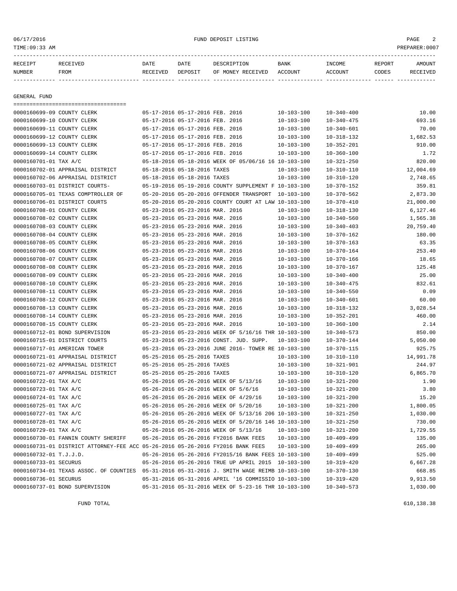#### 06/17/2016 FUND DEPOSIT LISTING PAGE 2

| RECEIPT       | <b>RECEIVED</b> | DATE     | DATE    | DESCRIPTION       | BANK    | INCOME         | REPORT | AMOUNT          |
|---------------|-----------------|----------|---------|-------------------|---------|----------------|--------|-----------------|
| <b>NUMBER</b> | FROM            | RECEIVED | DEPOSIT | OF MONEY RECEIVED | ACCOUNT | <b>ACCOUNT</b> | CODES  | <b>RECEIVED</b> |
|               |                 |          |         |                   |         |                |        |                 |

GENERAL FUND

=================================== 0000160699-09 COUNTY CLERK 05-17-2016 05-17-2016 FEB. 2016 10-103-100 10-340-400 10-00 0000160699-10 COUNTY CLERK 05-17-2016 05-17-2016 FEB. 2016 10-103-100 10-340-475 693.16 0000160699-11 COUNTY CLERK 05-17-2016 05-17-2016 FEB. 2016 10-103-100 10-340-601 70.00 0000160699-12 COUNTY CLERK 05-17-2016 05-17-2016 FEB. 2016 10-103-100 10-318-132 1,682.53 0000160699-13 COUNTY CLERK 05-17-2016 05-17-2016 FEB. 2016 10-103-100 10-352-201 910.00 0000160699-14 COUNTY CLERK 05-17-2016 05-17-2016 FEB. 2016 10-103-100 10-360-100 10-360-100 1.72 0000160701-01 TAX A/C 05-18-2016 05-18-2016 WEEK OF 05/06/16 16 10-103-100 10-321-250 820.00 0000160702-01 APPRAISAL DISTRICT 05-18-2016 05-18-2016 TAXES 10-103-100 10-310-110 12,004.69 0000160702-06 APPRAISAL DISTRICT 05-18-2016 05-18-2016 TAXES 10-103-100 10-310-120 2,748.65 0000160703-01 DISTRICT COURTS- 05-19-2016 05-19-2016 COUNTY SUPPLEMENT F 10-103-100 10-370-152 359.81 0000160705-01 TEXAS COMPTROLLER OF 05-20-2016 05-20-2016 OFFENDER TRANSPORT 10-103-100 10-370-562 2,873.30 0000160706-01 DISTRICT COURTS 05-20-2016 05-20-2016 COUNTY COURT AT LAW 10-103-100 10-370-410 21,000.00 0000160708-01 COUNTY CLERK 05-23-2016 05-23-2016 MAR. 2016 10-103-100 10-318-130 6,127.46 0000160708-02 COUNTY CLERK 05-23-2016 05-23-2016 MAR. 2016 10-103-100 10-340-560 1,565.38 0000160708-03 COUNTY CLERK 05-23-2016 05-23-2016 MAR. 2016 10-103-100 10-340-403 20,759.40 0000160708-04 COUNTY CLERK 05-23-2016 05-23-2016 MAR. 2016 10-103-100 10-370-162 180.00 0000160708-05 COUNTY CLERK 05-23-2016 05-23-2016 MAR. 2016 10-103-100 10-370-163 63.35 0000160708-06 COUNTY CLERK 05-23-2016 05-23-2016 MAR. 2016 10-103-100 10-370-164 253.40 0000160708-07 COUNTY CLERK 05-23-2016 05-23-2016 MAR. 2016 10-103-100 10-370-166 18.65 0000160708-08 COUNTY CLERK 05-23-2016 05-23-2016 MAR. 2016 10-103-100 10-370-167 125.48 0000160708-09 COUNTY CLERK 05-23-2016 05-23-2016 MAR. 2016 10-103-100 10-340-400 25.00 0000160708-10 COUNTY CLERK 05-23-2016 05-23-2016 MAR. 2016 10-103-100 10-340-475 832.61 0000160708-11 COUNTY CLERK 05-23-2016 05-23-2016 MAR. 2016 10-103-100 10-340-550 0.09 0000160708-12 COUNTY CLERK 05-23-2016 05-23-2016 MAR. 2016 10-103-100 10-340-601 60.00 0000160708-13 COUNTY CLERK 05-23-2016 05-23-2016 MAR. 2016 10-103-100 10-318-132 3,028.54 0000160708-14 COUNTY CLERK 05-23-2016 05-23-2016 MAR. 2016 10-103-100 10-352-201 460.00 0000160708-15 COUNTY CLERK 05-23-2016 05-23-2016 MAR. 2016 10-103-100 10-360-100 2.14 0000160712-01 BOND SUPERVISION 05-23-2016 05-23-2016 WEEK OF 5/16/16 THR 10-103-100 10-340-573 850.00 0000160715-01 DISTRICT COURTS 05-23-2016 05-23-2016 CONST. JUD. SUPP. 10-103-100 10-370-144 5,050.00 0000160717-01 AMERICAN TOWER 05-23-2016 05-23-2016 JUNE 2016- TOWER RE 10-103-100 10-370-115 925.75 0000160721-01 APPRAISAL DISTRICT 05-25-2016 05-25-2016 TAXES 10-103-100 10-310-110 14,991.78 0000160721-02 APPRAISAL DISTRICT 05-25-2016 05-25-2016 TAXES 10-103-100 10-321-901 244.97 0000160721-07 APPRAISAL DISTRICT 05-25-2016 05-25-2016 TAXES 10-103-100 10-310-120 6,865.70 0000160722-01 TAX A/C 05-26-2016 05-26-2016 WEEK OF 5/13/16 10-103-100 10-321-200 1.90 0000160723-01 TAX A/C 05-26-2016 05-26-2016 WEEK OF 5/6/16 10-103-100 10-321-200 3.80 0000160724-01 TAX A/C 05-26-2016 05-26-2016 WEEK OF 4/29/16 10-103-100 10-321-200 15.20 0000160725-01 TAX A/C 05-26-2016 05-26-2016 WEEK OF 5/20/16 10-103-100 10-321-200 1,800.05 0000160727-01 TAX A/C 05-26-2016 05-26-2016 WEEK OF 5/13/16 206 10-103-100 10-321-250 1,030.00 0000160728-01 TAX A/C 05-26-2016 05-26-2016 WEEK OF 5/20/16 146 10-103-100 10-321-250 730.00 0000160729-01 TAX A/C 05-26-2016 05-26-2016 WEEK OF 5/13/16 10-103-100 10-321-200 1,729.55 0000160730-01 FANNIN COUNTY SHERIFF 05-26-2016 05-26-2016 FY2016 BANK FEES 10-103-100 10-409-499 135.00 0000160731-01 DISTRICT ATTORNEY-FEE ACC 05-26-2016 05-26-2016 FY2016 BANK FEES 10-103-100 10-409-499 265.00 0000160732-01 T.J.J.D. 05-26-2016 05-26-2016 FY2015/16 BANK FEES 10-103-100 10-409-499 525.00 0000160733-01 SECURUS 05-26-2016 05-26-2016 TRUE UP APRIL 2015 10-103-100 10-319-420 6,667.28 0000160734-01 TEXAS ASSOC. OF COUNTIES 05-31-2016 05-31-2016 J. SMITH WAGE REIMB 10-103-100 10-370-130 668.85 0000160736-01 SECURUS 05-31-2016 05-31-2016 APRIL '16 COMMISSIO 10-103-100 10-319-420 9,913.50 0000160737-01 BOND SUPERVISION 05-31-2016 05-31-2016 WEEK OF 5-23-16 THR 10-103-100 10-340-573 1,030.00

FUND TOTAL 610,138.38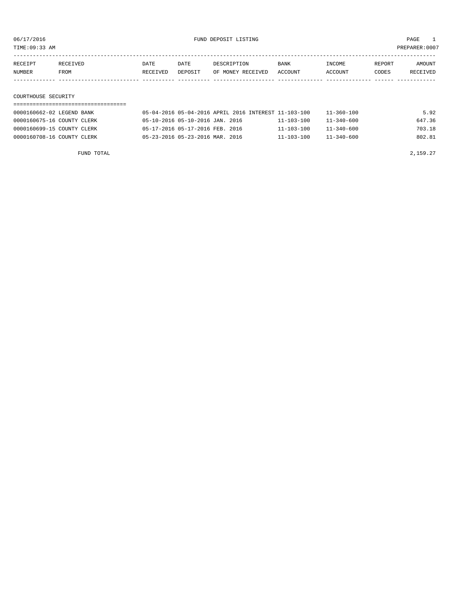TIME:09:33 AM PREPARER:0007

| RECEIPT | RECEIVED. | DATE     | DATE    | DESCRIPTION       | <b>BANK</b> | <b>INCOME</b> | REPORT | AMOUNT          |
|---------|-----------|----------|---------|-------------------|-------------|---------------|--------|-----------------|
| NUMBER  | FROM      | RECEIVED | DEPOSIT | OF MONEY RECEIVED | ACCOUNT     | CCOUNT        | CODES  | <b>RECEIVED</b> |
|         |           |          |         |                   |             |               |        |                 |

## COURTHOUSE SECURITY

| 0000160662-02 LEGEND BANK  | 05-04-2016 05-04-2016 APRIL 2016 INTEREST 11-103-100 |                  | 11-360-100       | 5.92   |
|----------------------------|------------------------------------------------------|------------------|------------------|--------|
| 0000160675-16 COUNTY CLERK | 05-10-2016 05-10-2016 JAN. 2016                      | 11-103-100       | $11 - 340 - 600$ | 647.36 |
| 0000160699-15 COUNTY CLERK | 05-17-2016 05-17-2016 FEB. 2016                      | $11 - 103 - 100$ | $11 - 340 - 600$ | 703.18 |
| 0000160708-16 COUNTY CLERK | 05-23-2016 05-23-2016 MAR. 2016                      | $11 - 103 - 100$ | $11 - 340 - 600$ | 802.81 |

FUND TOTAL  $2,159.27$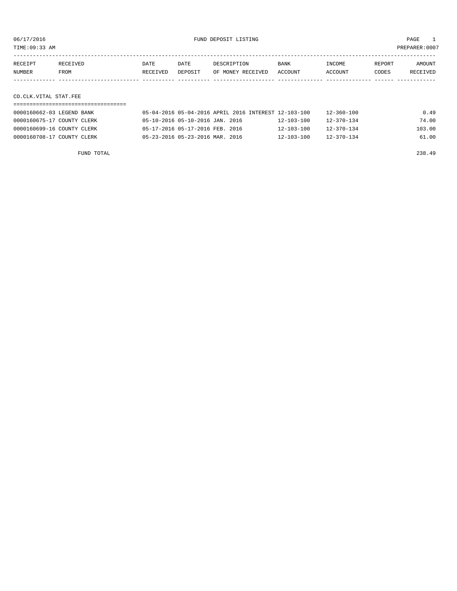TIME:09:33 AM PREPARER:0007

| RECEIPT | <b>RECEIVED</b> | DATE     | DATE           | DE SCR T PT TON   | <b>BANK</b> | NCOME <sup></sup> | REPORT | NMOUNT          |
|---------|-----------------|----------|----------------|-------------------|-------------|-------------------|--------|-----------------|
| NUMBER  | FROM            | RECEIVED | <b>DEPOSTT</b> | OF MONEY RECEIVED | ACCOUNT     | <b>ACCOUNT</b>    | CODES  | <b>RECEIVED</b> |
|         |                 |          |                |                   |             |                   |        |                 |

## CO.CLK.VITAL STAT.FEE

| 0000160662-03 LEGEND BANK  | 05-04-2016 05-04-2016 APRIL 2016 INTEREST 12-103-100 |                  | 12-360-100       | 0.49   |
|----------------------------|------------------------------------------------------|------------------|------------------|--------|
| 0000160675-17 COUNTY CLERK | 05-10-2016 05-10-2016 JAN. 2016                      | $12 - 103 - 100$ | 12-370-134       | 74.00  |
| 0000160699-16 COUNTY CLERK | 05-17-2016 05-17-2016 FEB. 2016                      | $12 - 103 - 100$ | $12 - 370 - 134$ | 103.00 |
| 0000160708-17 COUNTY CLERK | 05-23-2016 05-23-2016 MAR. 2016                      | $12 - 103 - 100$ | $12 - 370 - 134$ | 61.00  |

FUND TOTAL 238.49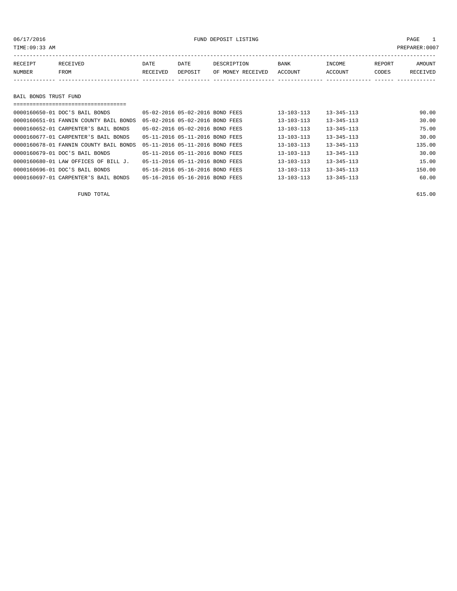## 06/17/2016 FUND DEPOSIT LISTING PAGE 1

| RECEIPT | RECEIVED              | DATE     | DATE    | DESCRIPTION       | BANK    | INCOME  | REPORT | AMOUNT   |  |  |
|---------|-----------------------|----------|---------|-------------------|---------|---------|--------|----------|--|--|
| NUMBER  | FROM                  | RECEIVED | DEPOSIT | OF MONEY RECEIVED | ACCOUNT | ACCOUNT | CODES  | RECEIVED |  |  |
|         |                       |          |         |                   |         |         |        |          |  |  |
|         |                       |          |         |                   |         |         |        |          |  |  |
|         | BAIL BONDS TRUST FUND |          |         |                   |         |         |        |          |  |  |
|         |                       |          |         |                   |         |         |        |          |  |  |

| 0000160650-01 DOC'S BAIL BONDS         | 05-02-2016 05-02-2016 BOND FEES | $13 - 103 - 113$ | $13 - 345 - 113$ | 90.00  |
|----------------------------------------|---------------------------------|------------------|------------------|--------|
| 0000160651-01 FANNIN COUNTY BAIL BONDS | 05-02-2016 05-02-2016 BOND FEES | $13 - 103 - 113$ | $13 - 345 - 113$ | 30.00  |
| 0000160652-01 CARPENTER'S BAIL BONDS   | 05-02-2016 05-02-2016 BOND FEES | $13 - 103 - 113$ | $13 - 345 - 113$ | 75.00  |
| 0000160677-01 CARPENTER'S BAIL BONDS   | 05-11-2016 05-11-2016 BOND FEES | $13 - 103 - 113$ | $13 - 345 - 113$ | 30.00  |
| 0000160678-01 FANNIN COUNTY BAIL BONDS | 05-11-2016 05-11-2016 BOND FEES | $13 - 103 - 113$ | $13 - 345 - 113$ | 135.00 |
| 0000160679-01 DOC'S BAIL BONDS         | 05-11-2016 05-11-2016 BOND FEES | $13 - 103 - 113$ | $13 - 345 - 113$ | 30.00  |
| 0000160680-01 LAW OFFICES OF BILL J.   | 05-11-2016 05-11-2016 BOND FEES | $13 - 103 - 113$ | $13 - 345 - 113$ | 15.00  |
| 0000160696-01 DOC'S BAIL BONDS         | 05-16-2016 05-16-2016 BOND FEES | $13 - 103 - 113$ | $13 - 345 - 113$ | 150.00 |
| 0000160697-01 CARPENTER'S BAIL BONDS   | 05-16-2016 05-16-2016 BOND FEES | $13 - 103 - 113$ | $13 - 345 - 113$ | 60.00  |

FUND TOTAL 615.00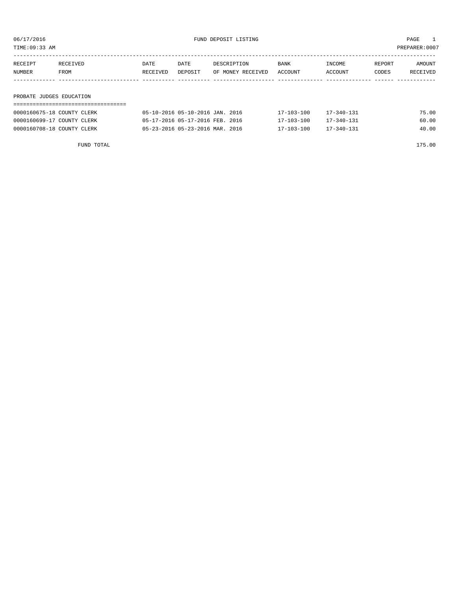| PREPARER: 0007<br>TIME:09:33 AM |          |          |         |                   |         |         |        |          |
|---------------------------------|----------|----------|---------|-------------------|---------|---------|--------|----------|
| RECEIPT                         | RECEIVED | DATE     | DATE    | DESCRIPTION       | BANK    | INCOME  | REPORT | AMOUNT   |
| NUMBER                          | FROM     | RECEIVED | DEPOSIT | OF MONEY RECEIVED | ACCOUNT | ACCOUNT | CODES  | RECEIVED |
|                                 |          |          |         |                   |         |         |        |          |
| PROBATE JUDGES EDUCATION        |          |          |         |                   |         |         |        |          |

## ===================================

| 0000160675-18 COUNTY CLERK | 05-10-2016 05-10-2016 JAN. 2016 | $17 - 103 - 100$ | $17 - 340 - 131$ | 75.00 |
|----------------------------|---------------------------------|------------------|------------------|-------|
| 0000160699-17 COUNTY CLERK | 05-17-2016 05-17-2016 FEB. 2016 | 17-103-100       | 17-340-131       | 60.00 |
| 0000160708-18 COUNTY CLERK | 05-23-2016 05-23-2016 MAR. 2016 | $17 - 103 - 100$ | $17 - 340 - 131$ | 40.00 |

FUND TOTAL 175.00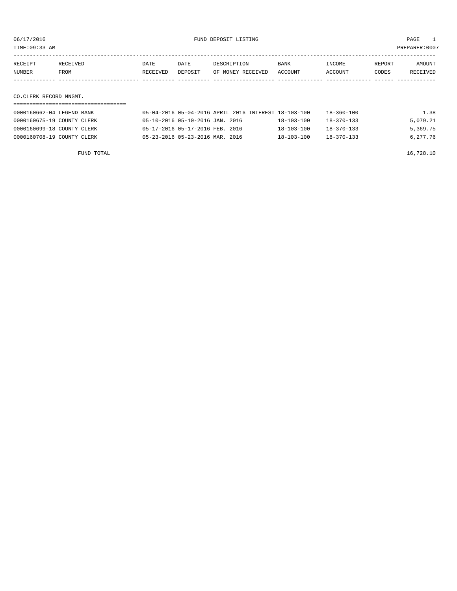TIME:09:33 AM PREPARER:0007

| RECEIPT | <b>RECEIVED</b> | DATE     | DATE    | DESCRIPTION       | <b>BANK</b> | <b>INCOME</b> | REPORT | AMOUNT          |
|---------|-----------------|----------|---------|-------------------|-------------|---------------|--------|-----------------|
| NUMBER  | FROM            | RECEIVED | DEPOSIT | OF MONEY RECEIVED | ACCOUNT     | ACCOUNT       | CODES  | <b>RECEIVED</b> |
|         |                 |          |         |                   |             |               |        |                 |

CO.CLERK RECORD MNGMT.

| 0000160662-04 LEGEND BANK  | 05-04-2016 05-04-2016 APRIL 2016 INTEREST 18-103-100 |                  | 18-360-100       | 1.38     |
|----------------------------|------------------------------------------------------|------------------|------------------|----------|
| 0000160675-19 COUNTY CLERK | 05-10-2016 05-10-2016 JAN. 2016                      | $18 - 103 - 100$ | $18 - 370 - 133$ | 5,079.21 |
| 0000160699-18 COUNTY CLERK | 05-17-2016 05-17-2016 FEB. 2016                      | $18 - 103 - 100$ | 18-370-133       | 5,369.75 |
| 0000160708-19 COUNTY CLERK | 05-23-2016 05-23-2016 MAR. 2016                      | $18 - 103 - 100$ | 18-370-133       | 6,277.76 |

FUND TOTAL  $16,728.10$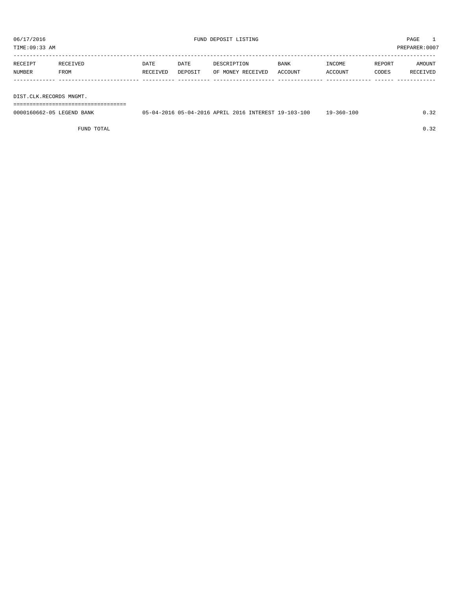TIME:09:33 AM PREPARER:0007

| RECEIPT | RECEIVED | DATE     | DATE    | DESCRIPTION       | BANK    | INCOME  | REPORT | AMOUNT   |
|---------|----------|----------|---------|-------------------|---------|---------|--------|----------|
| NUMBER  | FROM     | RECEIVED | DEPOSIT | OF MONEY RECEIVED | ACCOUNT | ACCOUNT | CODES  | RECEIVED |
|         |          |          |         |                   |         |         |        |          |
|         |          |          |         |                   |         |         |        |          |

## DIST.CLK.RECORDS MNGMT.

===================================

| 0000160662-05 LEGEND BANK | 05-04-2016 05-04-2016 APRIL 2016 INTEREST 19-103-100 |  |  | 19-360-100 |  |
|---------------------------|------------------------------------------------------|--|--|------------|--|
|                           |                                                      |  |  |            |  |

FUND TOTAL  $0.32$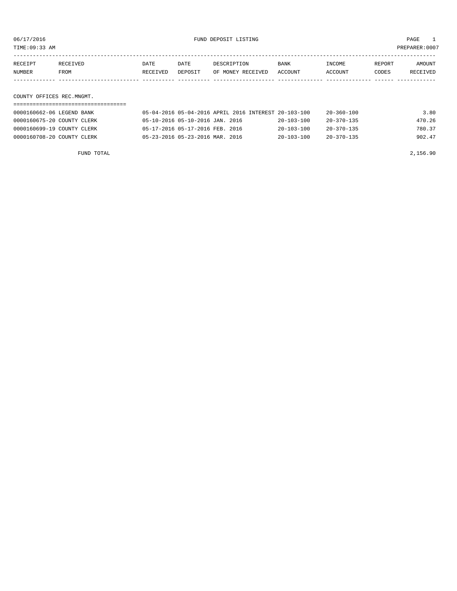TIME:09:33 AM PREPARER:0007

| RECEIPT | <b>RECEIVED</b> | DATE     | DATE    | DESCRIPTION       | <b>BANK</b> | INCOME  | REPORT | AMOUNT          |
|---------|-----------------|----------|---------|-------------------|-------------|---------|--------|-----------------|
| NUMBER  | FROM<br>_____   | RECEIVED | DEPOSIT | OF MONEY RECEIVED | ACCOUNT     | ACCOUNT | CODES  | <b>RECEIVED</b> |
|         |                 |          |         |                   |             |         |        |                 |

COUNTY OFFICES REC.MNGMT.

| 0000160662-06 LEGEND BANK  | 05-04-2016 05-04-2016 APRIL 2016 INTEREST 20-103-100 |                  | 20-360-100       | 3.80   |
|----------------------------|------------------------------------------------------|------------------|------------------|--------|
| 0000160675-20 COUNTY CLERK | 05-10-2016 05-10-2016 JAN. 2016                      | $20 - 103 - 100$ | 20-370-135       | 470.26 |
| 0000160699-19 COUNTY CLERK | 05-17-2016 05-17-2016 FEB. 2016                      | $20 - 103 - 100$ | $20 - 370 - 135$ | 780.37 |
| 0000160708-20 COUNTY CLERK | 05-23-2016 05-23-2016 MAR. 2016                      | $20 - 103 - 100$ | $20 - 370 - 135$ | 902.47 |

FUND TOTAL 2,156.90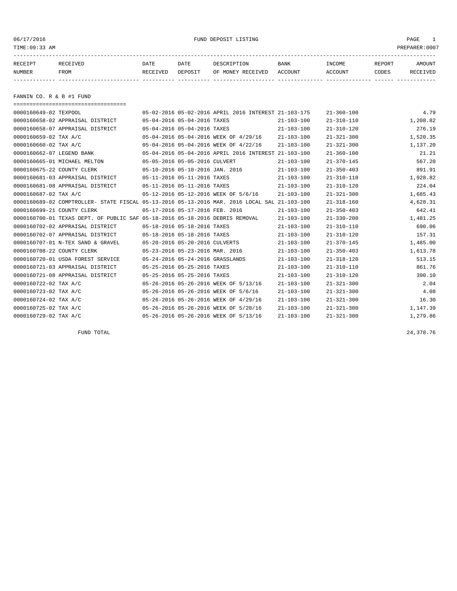06/17/2016 FUND DEPOSIT LISTING PAGE 1

| RECEIPT | <b>RECEIVED</b> | DATE            | DATE    | DESCRIPTION       | <b>BANK</b> | <b>TNCOME</b> | REPORT | AMOUNT          |
|---------|-----------------|-----------------|---------|-------------------|-------------|---------------|--------|-----------------|
| NUMBER  | FROM            | <b>RECEIVED</b> | DEPOSIT | OF MONEY RECEIVED | ACCOUNT     | ACCOUNT       | CODES  | <b>RECEIVED</b> |
|         |                 |                 |         |                   |             |               |        |                 |

FANNIN CO. R & B #1 FUND

| =====================================                                                        |                                 |                                  |                                                      |                  |                  |          |
|----------------------------------------------------------------------------------------------|---------------------------------|----------------------------------|------------------------------------------------------|------------------|------------------|----------|
| 0000160649-02 TEXPOOL                                                                        |                                 |                                  | 05-02-2016 05-02-2016 APRIL 2016 INTEREST 21-103-175 |                  | $21 - 360 - 100$ | 4.79     |
| 0000160658-02 APPRAISAL DISTRICT                                                             |                                 | 05-04-2016 05-04-2016 TAXES      |                                                      | $21 - 103 - 100$ | $21 - 310 - 110$ | 1,208.82 |
| 0000160658-07 APPRAISAL DISTRICT                                                             |                                 | 05-04-2016 05-04-2016 TAXES      |                                                      | $21 - 103 - 100$ | $21 - 310 - 120$ | 276.19   |
| 0000160659-02 TAX A/C                                                                        |                                 |                                  | 05-04-2016 05-04-2016 WEEK OF 4/29/16                | $21 - 103 - 100$ | $21 - 321 - 300$ | 1,520.35 |
| 0000160660-02 TAX A/C                                                                        |                                 |                                  | 05-04-2016 05-04-2016 WEEK OF 4/22/16                | $21 - 103 - 100$ | $21 - 321 - 300$ | 1,137.20 |
| 0000160662-07 LEGEND BANK                                                                    |                                 |                                  | 05-04-2016 05-04-2016 APRIL 2016 INTEREST 21-103-100 |                  | $21 - 360 - 100$ | 21.21    |
| 0000160665-01 MICHAEL MELTON                                                                 | 05-05-2016 05-05-2016 CULVERT   |                                  |                                                      | $21 - 103 - 100$ | $21 - 370 - 145$ | 567.20   |
| 0000160675-22 COUNTY CLERK                                                                   | 05-10-2016 05-10-2016 JAN. 2016 |                                  |                                                      | $21 - 103 - 100$ | $21 - 350 - 403$ | 891.91   |
| 0000160681-03 APPRAISAL DISTRICT                                                             | 05-11-2016 05-11-2016 TAXES     |                                  |                                                      | $21 - 103 - 100$ | $21 - 310 - 110$ | 1,928.82 |
| 0000160681-08 APPRAISAL DISTRICT                                                             | 05-11-2016 05-11-2016 TAXES     |                                  |                                                      | $21 - 103 - 100$ | $21 - 310 - 120$ | 224.04   |
| 0000160687-02 TAX A/C                                                                        |                                 |                                  | 05-12-2016 05-12-2016 WEEK OF 5/6/16                 | $21 - 103 - 100$ | $21 - 321 - 300$ | 1,685.43 |
| 0000160689-02 COMPTROLLER- STATE FISCAL 05-13-2016 05-13-2016 MAR. 2016 LOCAL SAL 21-103-100 |                                 |                                  |                                                      |                  | $21 - 318 - 160$ | 4,628.31 |
| 0000160699-21 COUNTY CLERK                                                                   |                                 | 05-17-2016 05-17-2016 FEB. 2016  |                                                      | $21 - 103 - 100$ | $21 - 350 - 403$ | 642.41   |
| 0000160700-01 TEXAS DEPT. OF PUBLIC SAF 05-18-2016 05-18-2016 DEBRIS REMOVAL                 |                                 |                                  |                                                      | $21 - 103 - 100$ | $21 - 330 - 200$ | 1,481.25 |
| 0000160702-02 APPRAISAL DISTRICT                                                             |                                 | 05-18-2016 05-18-2016 TAXES      |                                                      | $21 - 103 - 100$ | $21 - 310 - 110$ | 690.06   |
| 0000160702-07 APPRAISAL DISTRICT                                                             | 05-18-2016 05-18-2016 TAXES     |                                  |                                                      | $21 - 103 - 100$ | $21 - 310 - 120$ | 157.31   |
| 0000160707-01 N-TEX SAND & GRAVEL                                                            | 05-20-2016 05-20-2016 CULVERTS  |                                  |                                                      | $21 - 103 - 100$ | $21 - 370 - 145$ | 1,485.00 |
| 0000160708-22 COUNTY CLERK                                                                   | 05-23-2016 05-23-2016 MAR. 2016 |                                  |                                                      | $21 - 103 - 100$ | $21 - 350 - 403$ | 1,613.78 |
| 0000160720-01 USDA FOREST SERVICE                                                            |                                 | 05-24-2016 05-24-2016 GRASSLANDS |                                                      | $21 - 103 - 100$ | $21 - 318 - 120$ | 513.15   |
| 0000160721-03 APPRAISAL DISTRICT                                                             |                                 | 05-25-2016 05-25-2016 TAXES      |                                                      | $21 - 103 - 100$ | $21 - 310 - 110$ | 861.76   |
| 0000160721-08 APPRAISAL DISTRICT                                                             |                                 | 05-25-2016 05-25-2016 TAXES      |                                                      | $21 - 103 - 100$ | $21 - 310 - 120$ | 390.10   |
| 0000160722-02 TAX A/C                                                                        |                                 |                                  | 05-26-2016 05-26-2016 WEEK OF 5/13/16                | $21 - 103 - 100$ | $21 - 321 - 300$ | 2.04     |
| 0000160723-02 TAX A/C                                                                        |                                 |                                  | 05-26-2016 05-26-2016 WEEK OF 5/6/16                 | $21 - 103 - 100$ | $21 - 321 - 300$ | 4.08     |
| 0000160724-02 TAX A/C                                                                        |                                 |                                  | 05-26-2016 05-26-2016 WEEK OF 4/29/16                | $21 - 103 - 100$ | $21 - 321 - 300$ | 16.30    |
| 0000160725-02 TAX A/C                                                                        |                                 |                                  | 05-26-2016 05-26-2016 WEEK OF 5/20/16                | $21 - 103 - 100$ | $21 - 321 - 300$ | 1,147.39 |
| 0000160729-02 TAX A/C                                                                        |                                 |                                  | 05-26-2016 05-26-2016 WEEK OF 5/13/16                | $21 - 103 - 100$ | $21 - 321 - 300$ | 1,279.86 |

FUND TOTAL 24,378.76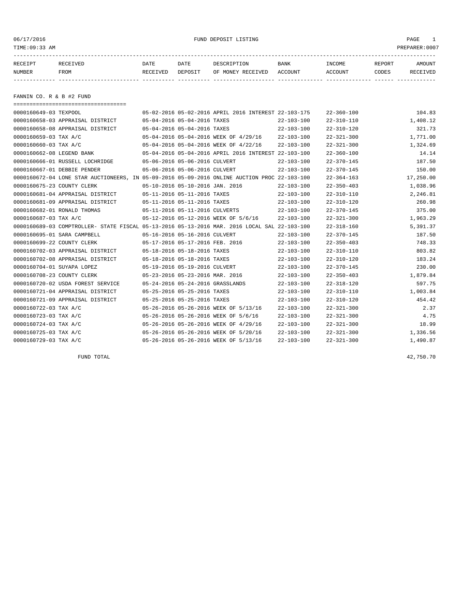## 06/17/2016 FUND DEPOSIT LISTING PAGE 1

| RECEIPT | <b>RECEIVED</b> | DATE     | DATE    | DESCRIPTION       | <b>BANK</b> | <b>TNCOME</b>  | REPORT | AMOUNT          |
|---------|-----------------|----------|---------|-------------------|-------------|----------------|--------|-----------------|
| NUMBER  | FROM            | RECEIVED | DEPOSIT | OF MONEY RECEIVED | ACCOUNT     | <b>ACCOUNT</b> | CODES  | <b>RECEIVED</b> |
|         |                 |          |         |                   |             |                |        |                 |

FANNIN CO. R & B #2 FUND

| -------------------------------------                                                        |                                                      |                  |                  |           |
|----------------------------------------------------------------------------------------------|------------------------------------------------------|------------------|------------------|-----------|
| 0000160649-03 TEXPOOL                                                                        | 05-02-2016 05-02-2016 APRIL 2016 INTEREST 22-103-175 |                  | $22 - 360 - 100$ | 104.83    |
| 0000160658-03 APPRAISAL DISTRICT                                                             | 05-04-2016 05-04-2016 TAXES                          | $22 - 103 - 100$ | $22 - 310 - 110$ | 1,408.12  |
| 0000160658-08 APPRAISAL DISTRICT                                                             | 05-04-2016 05-04-2016 TAXES                          | $22 - 103 - 100$ | $22 - 310 - 120$ | 321.73    |
| 0000160659-03 TAX A/C                                                                        | 05-04-2016 05-04-2016 WEEK OF 4/29/16                | $22 - 103 - 100$ | $22 - 321 - 300$ | 1,771.00  |
| 0000160660-03 TAX A/C                                                                        | 05-04-2016 05-04-2016 WEEK OF 4/22/16                | $22 - 103 - 100$ | $22 - 321 - 300$ | 1,324.69  |
| 0000160662-08 LEGEND BANK                                                                    | 05-04-2016 05-04-2016 APRIL 2016 INTEREST 22-103-100 |                  | $22 - 360 - 100$ | 14.14     |
| 0000160666-01 RUSSELL LOCHRIDGE                                                              | 05-06-2016 05-06-2016 CULVERT                        | $22 - 103 - 100$ | $22 - 370 - 145$ | 187.50    |
| 0000160667-01 DEBBIE PENDER                                                                  | 05-06-2016 05-06-2016 CULVERT                        | $22 - 103 - 100$ | $22 - 370 - 145$ | 150.00    |
| 0000160672-04 LONE STAR AUCTIONEERS, IN 05-09-2016 05-09-2016 ONLINE AUCTION PROC 22-103-100 |                                                      |                  | $22 - 364 - 163$ | 17,250.00 |
| 0000160675-23 COUNTY CLERK                                                                   | 05-10-2016 05-10-2016 JAN. 2016                      | $22 - 103 - 100$ | $22 - 350 - 403$ | 1,038.96  |
| 0000160681-04 APPRAISAL DISTRICT                                                             | 05-11-2016 05-11-2016 TAXES                          | $22 - 103 - 100$ | $22 - 310 - 110$ | 2,246.81  |
| 0000160681-09 APPRAISAL DISTRICT                                                             | 05-11-2016 05-11-2016 TAXES                          | $22 - 103 - 100$ | $22 - 310 - 120$ | 260.98    |
| 0000160682-01 RONALD THOMAS                                                                  | 05-11-2016 05-11-2016 CULVERTS                       | $22 - 103 - 100$ | $22 - 370 - 145$ | 375.00    |
| 0000160687-03 TAX A/C                                                                        | 05-12-2016 05-12-2016 WEEK OF 5/6/16                 | $22 - 103 - 100$ | $22 - 321 - 300$ | 1,963.29  |
| 0000160689-03 COMPTROLLER- STATE FISCAL 05-13-2016 05-13-2016 MAR. 2016 LOCAL SAL 22-103-100 |                                                      |                  | $22 - 318 - 160$ | 5,391.37  |
| 0000160695-01 SARA CAMPBELL                                                                  | 05-16-2016 05-16-2016 CULVERT                        | $22 - 103 - 100$ | $22 - 370 - 145$ | 187.50    |
| 0000160699-22 COUNTY CLERK                                                                   | 05-17-2016 05-17-2016 FEB. 2016                      | $22 - 103 - 100$ | $22 - 350 - 403$ | 748.33    |
| 0000160702-03 APPRAISAL DISTRICT                                                             | 05-18-2016 05-18-2016 TAXES                          | $22 - 103 - 100$ | $22 - 310 - 110$ | 803.82    |
| 0000160702-08 APPRAISAL DISTRICT                                                             | 05-18-2016 05-18-2016 TAXES                          | $22 - 103 - 100$ | $22 - 310 - 120$ | 183.24    |
| 0000160704-01 SUYAPA LOPEZ                                                                   | 05-19-2016 05-19-2016 CULVERT                        | $22 - 103 - 100$ | $22 - 370 - 145$ | 230.00    |
| 0000160708-23 COUNTY CLERK                                                                   | 05-23-2016 05-23-2016 MAR. 2016                      | $22 - 103 - 100$ | $22 - 350 - 403$ | 1,879.84  |
| 0000160720-02 USDA FOREST SERVICE                                                            | 05-24-2016 05-24-2016 GRASSLANDS                     | $22 - 103 - 100$ | $22 - 318 - 120$ | 597.75    |
| 0000160721-04 APPRAISAL DISTRICT                                                             | 05-25-2016 05-25-2016 TAXES                          | $22 - 103 - 100$ | $22 - 310 - 110$ | 1,003.84  |
| 0000160721-09 APPRAISAL DISTRICT                                                             | 05-25-2016 05-25-2016 TAXES                          | $22 - 103 - 100$ | $22 - 310 - 120$ | 454.42    |
| 0000160722-03 TAX A/C                                                                        | 05-26-2016 05-26-2016 WEEK OF 5/13/16                | $22 - 103 - 100$ | $22 - 321 - 300$ | 2.37      |
| 0000160723-03 TAX A/C                                                                        | 05-26-2016 05-26-2016 WEEK OF 5/6/16                 | $22 - 103 - 100$ | $22 - 321 - 300$ | 4.75      |
| 0000160724-03 TAX A/C                                                                        | 05-26-2016 05-26-2016 WEEK OF 4/29/16                | $22 - 103 - 100$ | $22 - 321 - 300$ | 18.99     |
| 0000160725-03 TAX A/C                                                                        | 05-26-2016 05-26-2016 WEEK OF 5/20/16                | $22 - 103 - 100$ | $22 - 321 - 300$ | 1,336.56  |
| 0000160729-03 TAX A/C                                                                        | 05-26-2016 05-26-2016 WEEK OF 5/13/16                | $22 - 103 - 100$ | $22 - 321 - 300$ | 1,490.87  |

FUND TOTAL  $42,750.70$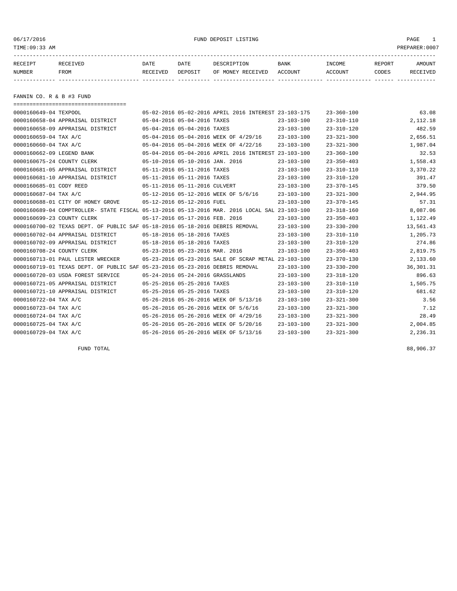06/17/2016 FUND DEPOSIT LISTING PAGE 1

| RECEIPT | <b>RECEIVED</b> | DATE     | DATE    | DESCRIPTION          | <b>BANK</b>    | INCOME  | <b>REPORT</b> | AMOUNT          |
|---------|-----------------|----------|---------|----------------------|----------------|---------|---------------|-----------------|
| NUMBER  | FROM            | RECEIVED | DEPOSIT | RECEIVED<br>OF MONEY | <b>ACCOUNT</b> | ACCOUNT | CODES         | <b>RECEIVED</b> |
|         |                 |          |         |                      |                |         |               |                 |

FANNIN CO. R & B #3 FUND

| ======================================                                                       |                                  |                                                      |                  |                  |            |
|----------------------------------------------------------------------------------------------|----------------------------------|------------------------------------------------------|------------------|------------------|------------|
| 0000160649-04 TEXPOOL                                                                        |                                  | 05-02-2016 05-02-2016 APRIL 2016 INTEREST 23-103-175 |                  | $23 - 360 - 100$ | 63.08      |
| 0000160658-04 APPRAISAL DISTRICT                                                             | 05-04-2016 05-04-2016 TAXES      |                                                      | $23 - 103 - 100$ | $23 - 310 - 110$ | 2,112.18   |
| 0000160658-09 APPRAISAL DISTRICT                                                             | 05-04-2016 05-04-2016 TAXES      |                                                      | $23 - 103 - 100$ | $23 - 310 - 120$ | 482.59     |
|                                                                                              |                                  |                                                      |                  |                  |            |
| 0000160659-04 TAX A/C                                                                        |                                  | 05-04-2016 05-04-2016 WEEK OF 4/29/16                | $23 - 103 - 100$ | $23 - 321 - 300$ | 2,656.51   |
| 0000160660-04 TAX A/C                                                                        |                                  | 05-04-2016 05-04-2016 WEEK OF 4/22/16                | $23 - 103 - 100$ | $23 - 321 - 300$ | 1,987.04   |
| 0000160662-09 LEGEND BANK                                                                    |                                  | 05-04-2016 05-04-2016 APRIL 2016 INTEREST 23-103-100 |                  | $23 - 360 - 100$ | 32.53      |
| 0000160675-24 COUNTY CLERK                                                                   | 05-10-2016 05-10-2016 JAN. 2016  |                                                      | $23 - 103 - 100$ | $23 - 350 - 403$ | 1,558.43   |
| 0000160681-05 APPRAISAL DISTRICT                                                             | 05-11-2016 05-11-2016 TAXES      |                                                      | $23 - 103 - 100$ | $23 - 310 - 110$ | 3,370.22   |
| 0000160681-10 APPRAISAL DISTRICT                                                             | 05-11-2016 05-11-2016 TAXES      |                                                      | $23 - 103 - 100$ | $23 - 310 - 120$ | 391.47     |
| 0000160685-01 CODY REED                                                                      | 05-11-2016 05-11-2016 CULVERT    |                                                      | $23 - 103 - 100$ | $23 - 370 - 145$ | 379.50     |
| 0000160687-04 TAX A/C                                                                        |                                  | 05-12-2016 05-12-2016 WEEK OF 5/6/16                 | $23 - 103 - 100$ | $23 - 321 - 300$ | 2,944.95   |
| 0000160688-01 CITY OF HONEY GROVE                                                            | 05-12-2016 05-12-2016 FUEL       |                                                      | $23 - 103 - 100$ | $23 - 370 - 145$ | 57.31      |
| 0000160689-04 COMPTROLLER- STATE FISCAL 05-13-2016 05-13-2016 MAR. 2016 LOCAL SAL 23-103-100 |                                  |                                                      |                  | $23 - 318 - 160$ | 8,087.06   |
| 0000160699-23 COUNTY CLERK                                                                   | 05-17-2016 05-17-2016 FEB. 2016  |                                                      | $23 - 103 - 100$ | $23 - 350 - 403$ | 1,122.49   |
| 0000160700-02 TEXAS DEPT. OF PUBLIC SAF 05-18-2016 05-18-2016 DEBRIS REMOVAL                 |                                  |                                                      | $23 - 103 - 100$ | $23 - 330 - 200$ | 13,561.43  |
| 0000160702-04 APPRAISAL DISTRICT                                                             | 05-18-2016 05-18-2016 TAXES      |                                                      | $23 - 103 - 100$ | $23 - 310 - 110$ | 1,205.73   |
| 0000160702-09 APPRAISAL DISTRICT                                                             | 05-18-2016 05-18-2016 TAXES      |                                                      | $23 - 103 - 100$ | $23 - 310 - 120$ | 274.86     |
| 0000160708-24 COUNTY CLERK                                                                   | 05-23-2016 05-23-2016 MAR. 2016  |                                                      | $23 - 103 - 100$ | $23 - 350 - 403$ | 2,819.75   |
| 0000160713-01 PAUL LESTER WRECKER                                                            |                                  | 05-23-2016 05-23-2016 SALE OF SCRAP METAL 23-103-100 |                  | $23 - 370 - 130$ | 2,133.60   |
| 0000160719-01 TEXAS DEPT. OF PUBLIC SAF 05-23-2016 05-23-2016 DEBRIS REMOVAL                 |                                  |                                                      | $23 - 103 - 100$ | $23 - 330 - 200$ | 36, 301.31 |
| 0000160720-03 USDA FOREST SERVICE                                                            | 05-24-2016 05-24-2016 GRASSLANDS |                                                      | $23 - 103 - 100$ | $23 - 318 - 120$ | 896.63     |
| 0000160721-05 APPRAISAL DISTRICT                                                             | 05-25-2016 05-25-2016 TAXES      |                                                      | $23 - 103 - 100$ | $23 - 310 - 110$ | 1,505.75   |
| 0000160721-10 APPRAISAL DISTRICT                                                             | 05-25-2016 05-25-2016 TAXES      |                                                      | $23 - 103 - 100$ | $23 - 310 - 120$ | 681.62     |
| 0000160722-04 TAX A/C                                                                        |                                  | 05-26-2016 05-26-2016 WEEK OF 5/13/16                | $23 - 103 - 100$ | $23 - 321 - 300$ | 3.56       |
| 0000160723-04 TAX A/C                                                                        |                                  | 05-26-2016 05-26-2016 WEEK OF 5/6/16                 | $23 - 103 - 100$ | $23 - 321 - 300$ | 7.12       |
| 0000160724-04 TAX A/C                                                                        |                                  | 05-26-2016 05-26-2016 WEEK OF 4/29/16                | $23 - 103 - 100$ | $23 - 321 - 300$ | 28.49      |
| 0000160725-04 TAX A/C                                                                        |                                  | 05-26-2016 05-26-2016 WEEK OF 5/20/16                | $23 - 103 - 100$ | $23 - 321 - 300$ | 2,004.85   |
| 0000160729-04 TAX A/C                                                                        |                                  | 05-26-2016 05-26-2016 WEEK OF 5/13/16                | $23 - 103 - 100$ | $23 - 321 - 300$ | 2,236.31   |

FUND TOTAL  $88,906.37$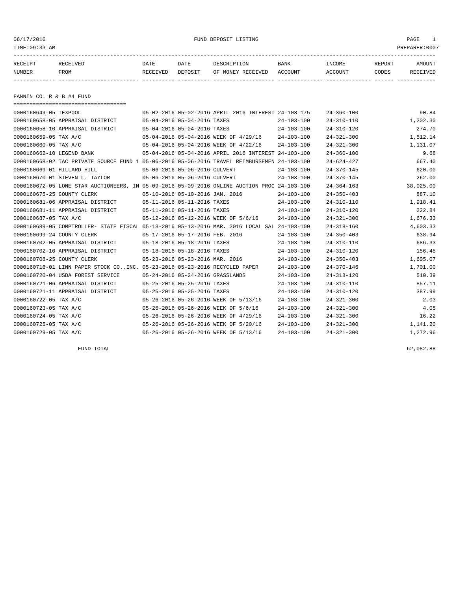06/17/2016 FUND DEPOSIT LISTING PAGE 1

| RECEIPT       | <b>RECEIVED</b> | DATE     | DATE    | DESCRIPTION       | <b>BANK</b> | <b>TNCOME</b> | REPORT | AMOUNT          |
|---------------|-----------------|----------|---------|-------------------|-------------|---------------|--------|-----------------|
| <b>NUMBER</b> | <b>FROM</b>     | RECEIVED | DEPOSIT | OF MONEY RECEIVED | ACCOUNT     | ACCOUNT       | CODES  | <b>RECEIVED</b> |
|               |                 |          |         |                   |             |               |        |                 |

FANNIN CO. R & B #4 FUND

|                            | ======================================                                                       |                               |                                  |                                                      |                  |                  |           |
|----------------------------|----------------------------------------------------------------------------------------------|-------------------------------|----------------------------------|------------------------------------------------------|------------------|------------------|-----------|
| 0000160649-05 TEXPOOL      |                                                                                              |                               |                                  | 05-02-2016 05-02-2016 APRIL 2016 INTEREST 24-103-175 |                  | $24 - 360 - 100$ | 90.84     |
|                            | 0000160658-05 APPRAISAL DISTRICT                                                             |                               | 05-04-2016 05-04-2016 TAXES      |                                                      | $24 - 103 - 100$ | $24 - 310 - 110$ | 1,202.30  |
|                            | 0000160658-10 APPRAISAL DISTRICT                                                             |                               | 05-04-2016 05-04-2016 TAXES      |                                                      | $24 - 103 - 100$ | $24 - 310 - 120$ | 274.70    |
| 0000160659-05 TAX A/C      |                                                                                              |                               |                                  | 05-04-2016 05-04-2016 WEEK OF 4/29/16                | 24-103-100       | $24 - 321 - 300$ | 1,512.14  |
| 0000160660-05 TAX A/C      |                                                                                              |                               |                                  | 05-04-2016 05-04-2016 WEEK OF 4/22/16                | $24 - 103 - 100$ | $24 - 321 - 300$ | 1,131.07  |
| 0000160662-10 LEGEND BANK  |                                                                                              |                               |                                  | 05-04-2016 05-04-2016 APRIL 2016 INTEREST 24-103-100 |                  | $24 - 360 - 100$ | 9.68      |
|                            | 0000160668-02 TAC PRIVATE SOURCE FUND 1 05-06-2016 05-06-2016 TRAVEL REIMBURSEMEN 24-103-100 |                               |                                  |                                                      |                  | $24 - 624 - 427$ | 667.40    |
| 0000160669-01 HILLARD HILL |                                                                                              | 05-06-2016 05-06-2016 CULVERT |                                  |                                                      | $24 - 103 - 100$ | $24 - 370 - 145$ | 620.00    |
|                            | 0000160670-01 STEVEN L. TAYLOR                                                               | 05-06-2016 05-06-2016 CULVERT |                                  |                                                      | $24 - 103 - 100$ | $24 - 370 - 145$ | 262.00    |
|                            | 0000160672-05 LONE STAR AUCTIONEERS, IN 05-09-2016 05-09-2016 ONLINE AUCTION PROC 24-103-100 |                               |                                  |                                                      |                  | $24 - 364 - 163$ | 38,025.00 |
| 0000160675-25 COUNTY CLERK |                                                                                              |                               | 05-10-2016 05-10-2016 JAN. 2016  |                                                      | $24 - 103 - 100$ | $24 - 350 - 403$ | 887.10    |
|                            | 0000160681-06 APPRAISAL DISTRICT                                                             |                               | 05-11-2016 05-11-2016 TAXES      |                                                      | $24 - 103 - 100$ | $24 - 310 - 110$ | 1,918.41  |
|                            | 0000160681-11 APPRAISAL DISTRICT                                                             | 05-11-2016 05-11-2016 TAXES   |                                  |                                                      | $24 - 103 - 100$ | $24 - 310 - 120$ | 222.84    |
| 0000160687-05 TAX A/C      |                                                                                              |                               |                                  | 05-12-2016 05-12-2016 WEEK OF 5/6/16                 | $24 - 103 - 100$ | $24 - 321 - 300$ | 1,676.33  |
|                            | 0000160689-05 COMPTROLLER- STATE FISCAL 05-13-2016 05-13-2016 MAR. 2016 LOCAL SAL 24-103-100 |                               |                                  |                                                      |                  | $24 - 318 - 160$ | 4,603.33  |
| 0000160699-24 COUNTY CLERK |                                                                                              |                               | 05-17-2016 05-17-2016 FEB. 2016  |                                                      | $24 - 103 - 100$ | $24 - 350 - 403$ | 638.94    |
|                            | 0000160702-05 APPRAISAL DISTRICT                                                             | 05-18-2016 05-18-2016 TAXES   |                                  |                                                      | $24 - 103 - 100$ | $24 - 310 - 110$ | 686.33    |
|                            | 0000160702-10 APPRAISAL DISTRICT                                                             | 05-18-2016 05-18-2016 TAXES   |                                  |                                                      | $24 - 103 - 100$ | $24 - 310 - 120$ | 156.45    |
| 0000160708-25 COUNTY CLERK |                                                                                              |                               | 05-23-2016 05-23-2016 MAR. 2016  |                                                      | $24 - 103 - 100$ | $24 - 350 - 403$ | 1,605.07  |
|                            | 0000160716-01 LINN PAPER STOCK CO., INC. 05-23-2016 05-23-2016 RECYCLED PAPER                |                               |                                  |                                                      | $24 - 103 - 100$ | $24 - 370 - 146$ | 1,701.00  |
|                            | 0000160720-04 USDA FOREST SERVICE                                                            |                               | 05-24-2016 05-24-2016 GRASSLANDS |                                                      | $24 - 103 - 100$ | $24 - 318 - 120$ | 510.39    |
|                            | 0000160721-06 APPRAISAL DISTRICT                                                             |                               | 05-25-2016 05-25-2016 TAXES      |                                                      | $24 - 103 - 100$ | $24 - 310 - 110$ | 857.11    |
|                            | 0000160721-11 APPRAISAL DISTRICT                                                             |                               | 05-25-2016 05-25-2016 TAXES      |                                                      | $24 - 103 - 100$ | $24 - 310 - 120$ | 387.99    |
| 0000160722-05 TAX A/C      |                                                                                              |                               |                                  | 05-26-2016 05-26-2016 WEEK OF 5/13/16                | $24 - 103 - 100$ | $24 - 321 - 300$ | 2.03      |
| 0000160723-05 TAX A/C      |                                                                                              |                               |                                  | 05-26-2016 05-26-2016 WEEK OF 5/6/16                 | $24 - 103 - 100$ | $24 - 321 - 300$ | 4.05      |
| 0000160724-05 TAX A/C      |                                                                                              |                               |                                  | 05-26-2016 05-26-2016 WEEK OF 4/29/16                | $24 - 103 - 100$ | $24 - 321 - 300$ | 16.22     |
| 0000160725-05 TAX A/C      |                                                                                              |                               |                                  | 05-26-2016 05-26-2016 WEEK OF 5/20/16                | $24 - 103 - 100$ | $24 - 321 - 300$ | 1,141.20  |
| 0000160729-05 TAX A/C      |                                                                                              |                               |                                  | 05-26-2016 05-26-2016 WEEK OF 5/13/16                | $24 - 103 - 100$ | $24 - 321 - 300$ | 1,272.96  |

FUND TOTAL  $62,082.88$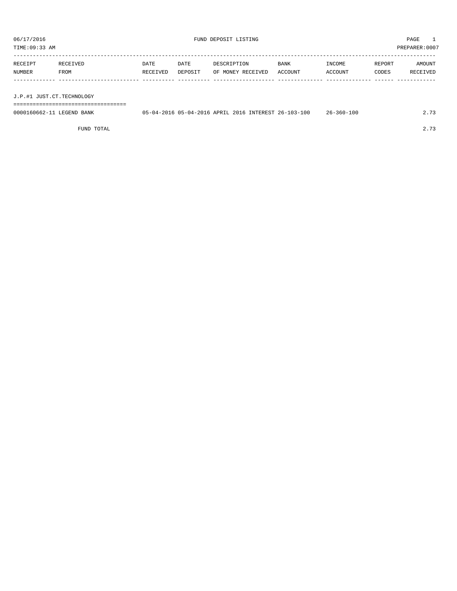TIME:09:33 AM PREPARER:0007

| RECEIPT | RECEIVED    | DATE     | DATE    | DESCRIPTION       | <b>BANK</b> | <b>TNCOME</b> | REPORT | AMOUNT   |
|---------|-------------|----------|---------|-------------------|-------------|---------------|--------|----------|
| NUMBER  | <b>FROM</b> | RECEIVED | DEPOSIT | OF MONEY RECEIVED | ACCOUNT     | ACCOUNT       | CODES  | RECEIVED |
|         |             |          |         |                   |             |               |        |          |

J.P.#1 JUST.CT.TECHNOLOGY

===================================

| 0000160662-11 LEGEND BANK | 05-04-2016 05-04-2016 APRIL 2016 INTEREST 26-103-100 |  |  | $26 - 360 - 100$ | 2.73 |
|---------------------------|------------------------------------------------------|--|--|------------------|------|
|                           |                                                      |  |  |                  |      |

FUND TOTAL 2.73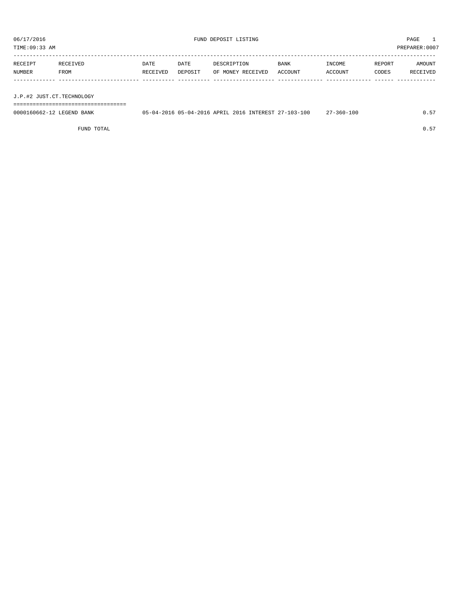TIME:09:33 AM PREPARER:0007

| RECEIPT       | RECEIVED | <b>DATE</b> | DATE    | DESCRIPTION       | BANK    | INCOME  | REPORT | AMOUNT   |
|---------------|----------|-------------|---------|-------------------|---------|---------|--------|----------|
| <b>NUMBER</b> | FROM     | RECEIVED    | DEPOSIT | OF MONEY RECEIVED | ACCOUNT | ACCOUNT | CODES  | RECEIVED |
|               |          |             |         |                   |         |         |        |          |

J.P.#2 JUST.CT.TECHNOLOGY

===================================

| 0000160662-12 LEGEND BANK |  |  | 05-04-2016 05-04-2016 APRIL 2016 INTEREST 27-103-100 | $27 - 360 - 100$ |  |
|---------------------------|--|--|------------------------------------------------------|------------------|--|
|                           |  |  |                                                      |                  |  |

FUND TOTAL  $0.57$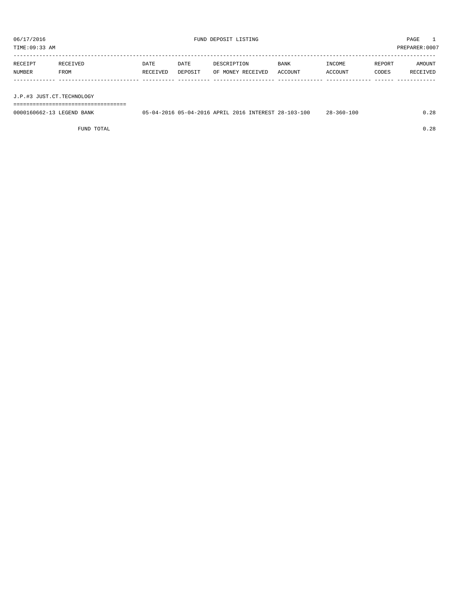TIME:09:33 AM PREPARER:0007

| RECEIPT | RECEIVED | DATE     | DATE    | DESCRIPTION               | <b>BANK</b> | INCOME  | REPORT | AMOUNT   |
|---------|----------|----------|---------|---------------------------|-------------|---------|--------|----------|
| NUMBER  | FROM     | RECEIVED | DEPOSIT | OF MONEY RECEIVED ACCOUNT |             | ACCOUNT | CODES  | RECEIVED |
|         |          |          |         |                           |             |         |        |          |

J.P.#3 JUST.CT.TECHNOLOGY

===================================

| 0000160662-13 LEGEND BANK | 05-04-2016 05-04-2016 APRIL 2016 INTEREST 28-103-100 |  | $28 - 360 - 100$ | .28 |
|---------------------------|------------------------------------------------------|--|------------------|-----|
|                           |                                                      |  |                  |     |

FUND TOTAL 0.28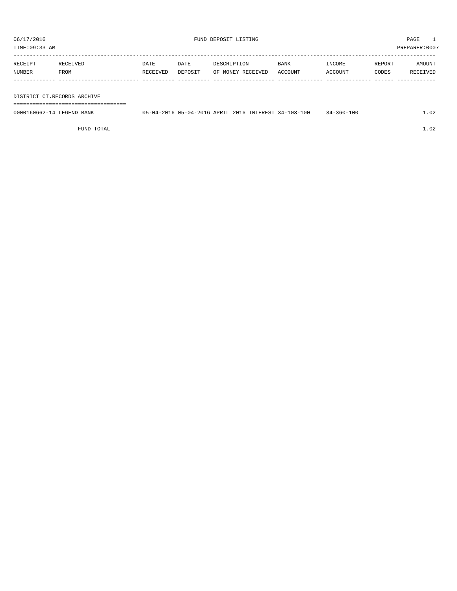| RECEIPT | RECEIVED    | DATE     | DATE    | DESCRIPTION       | <b>BANK</b> | INCOME  | REPORT | AMOUNT   |
|---------|-------------|----------|---------|-------------------|-------------|---------|--------|----------|
| NUMBER  | <b>FROM</b> | RECEIVED | DEPOSIT | OF MONEY RECEIVED | ACCOUNT     | ACCOUNT | CODES  | RECEIVED |
|         |             |          |         |                   |             |         |        |          |

## DISTRICT CT.RECORDS ARCHIVE

===================================

| 0000160662-14 LEGEND BANK | 05-04-2016 05-04-2016 APRIL 2016 INTEREST 34-103-100 |  |  | $34 - 360 - 100$ |  |
|---------------------------|------------------------------------------------------|--|--|------------------|--|
|                           |                                                      |  |  |                  |  |

FUND TOTAL  $1.02$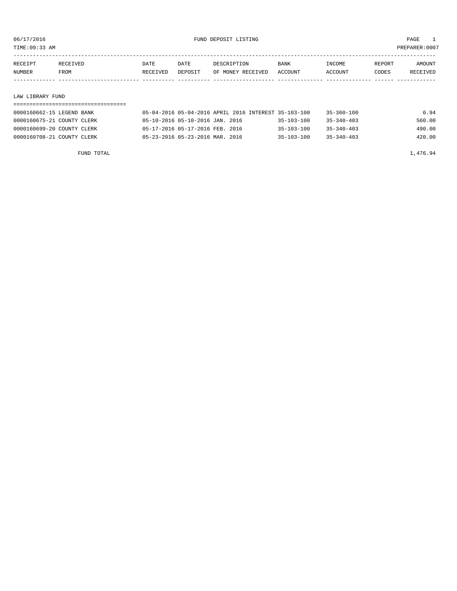TIME:09:33 AM PREPARER:0007

| RECEIPT | RECEIVED | DATE     | DATE    | DESCRIPTION       | <b>BANK</b>    | <b>NCOME</b>  | REPORT | NMOUNT          |
|---------|----------|----------|---------|-------------------|----------------|---------------|--------|-----------------|
| NUMBER  | FROM     | RECEIVED | DEPOSIT | OF MONEY RECEIVED | <b>ACCOUNT</b> | <b>CCOUNT</b> | CODES  | <b>RECEIVED</b> |
|         |          |          |         |                   |                |               |        |                 |

## LAW LIBRARY FUND

| 0000160662-15 LEGEND BANK  | 05-04-2016 05-04-2016 APRIL 2016 INTEREST 35-103-100 |                  | $35 - 360 - 100$ | 6.94   |
|----------------------------|------------------------------------------------------|------------------|------------------|--------|
| 0000160675-21 COUNTY CLERK | 05-10-2016 05-10-2016 JAN. 2016                      | $35 - 103 - 100$ | $35 - 340 - 403$ | 560.00 |
| 0000160699-20 COUNTY CLERK | 05-17-2016 05-17-2016 FEB. 2016                      | $35 - 103 - 100$ | $35 - 340 - 403$ | 490.00 |
| 0000160708-21 COUNTY CLERK | 05-23-2016 05-23-2016 MAR. 2016                      | $35 - 103 - 100$ | $35 - 340 - 403$ | 420.00 |

FUND TOTAL  $1,476.94$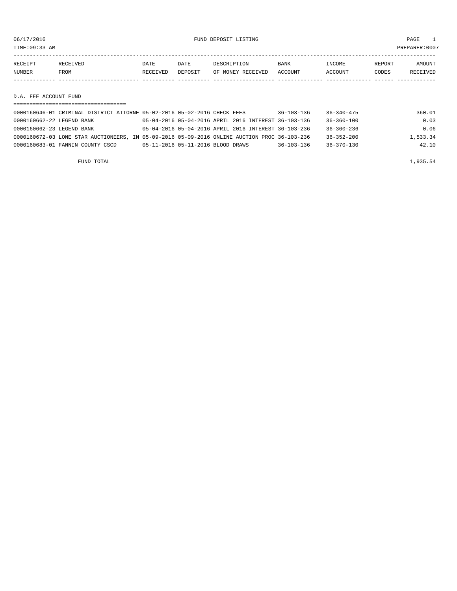TIME:09:33 AM PREPARER:0007

| RECEIPT | RECEIVED    | DATE     | DATE    | DESCRIPTION       | <b>BANK</b> | INCOME  | REPORT | AMOUNT   |
|---------|-------------|----------|---------|-------------------|-------------|---------|--------|----------|
| NUMBER  | <b>FROM</b> | RECEIVED | DEPOSIT | OF MONEY RECEIVED | ACCOUNT     | ACCOUNT | CODES  | RECEIVED |
|         |             |          |         |                   |             |         |        |          |

D.A. FEE ACCOUNT FUND

| 0000160646-01 CRIMINAL DISTRICT ATTORNE 05-02-2016 05-02-2016 CHECK FEES                     |                                   |                                                      | $36 - 103 - 136$ | $36 - 340 - 475$ | 360.01   |
|----------------------------------------------------------------------------------------------|-----------------------------------|------------------------------------------------------|------------------|------------------|----------|
| 0000160662-22 LEGEND BANK                                                                    |                                   | 05-04-2016 05-04-2016 APRIL 2016 INTEREST 36-103-136 |                  | $36 - 360 - 100$ | 0.03     |
| 0000160662-23 LEGEND BANK                                                                    |                                   | 05-04-2016 05-04-2016 APRIL 2016 INTEREST 36-103-236 |                  | $36 - 360 - 236$ | 0.06     |
| 0000160672-03 LONE STAR AUCTIONEERS, IN 05-09-2016 05-09-2016 ONLINE AUCTION PROC 36-103-236 |                                   |                                                      |                  | $36 - 352 - 200$ | 1,533.34 |
| 0000160683-01 FANNIN COUNTY CSCD                                                             | 05-11-2016 05-11-2016 BLOOD DRAWS |                                                      | $36 - 103 - 136$ | 36-370-130       | 42.10    |
|                                                                                              |                                   |                                                      |                  |                  |          |

FUND TOTAL  $1,935.54$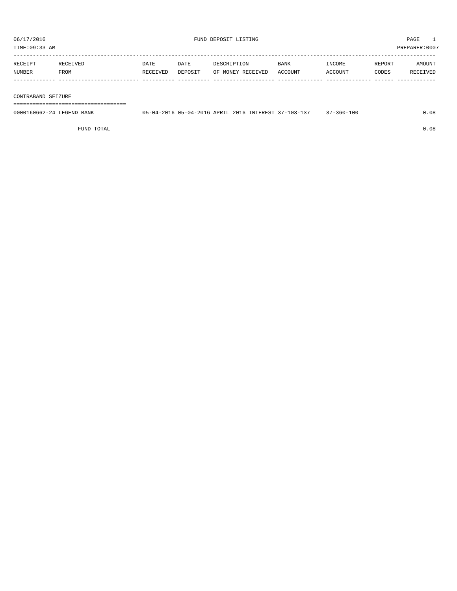| RECEIPT | RECEIVED | DATE     | DATE    | DESCRIPTION       | <b>BANK</b> | <b>INCOME</b> | <b>REPORT</b> | <b>AMOUNT</b>   |
|---------|----------|----------|---------|-------------------|-------------|---------------|---------------|-----------------|
| NUMBER  | FROM     | RECEIVED | DEPOSIT | OF MONEY RECEIVED | ACCOUNT     | ACCOUNT       | CODES         | <b>RECEIVED</b> |
|         |          |          |         |                   |             |               |               |                 |

## CONTRABAND SEIZURE

===================================

| 0000160662-24 LEGEND<br>BANK | $15 - 04 - 20$ | 16 05-04-2016 APRIL 2016 | INTEREST 37- | 102<br>. | 100<br>$360 -$ |  |
|------------------------------|----------------|--------------------------|--------------|----------|----------------|--|
|                              |                |                          |              |          |                |  |

FUND TOTAL 0.08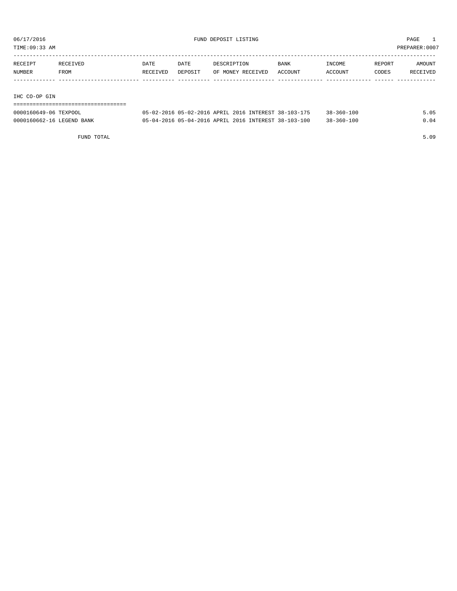TIME:09:33 AM PREPARER:0007

| RECEIPT | RECEIVED | DATE     | DATE    | DESCRIPTION       | <b>BANK</b> | INCOME         | REPORT | AMOUNT   |
|---------|----------|----------|---------|-------------------|-------------|----------------|--------|----------|
| NUMBER  | FROM     | RECEIVED | DEPOSIT | OF MONEY RECEIVED | ACCOUNT     | <b>ACCOUNT</b> | CODES  | RECEIVED |
|         |          |          |         |                   |             |                |        |          |

IHC CO-OP GIN

===================================

| 0000160649-06 TEXPOOL     | 05-02-2016 05-02-2016 APRIL 2016 INTEREST 38-103-175 |  | $38 - 360 - 100$ |  |
|---------------------------|------------------------------------------------------|--|------------------|--|
| 0000160662-16 LEGEND BANK | 05-04-2016 05-04-2016 APRIL 2016 INTEREST 38-103-100 |  | $38 - 360 - 100$ |  |

FUND TOTAL 5.09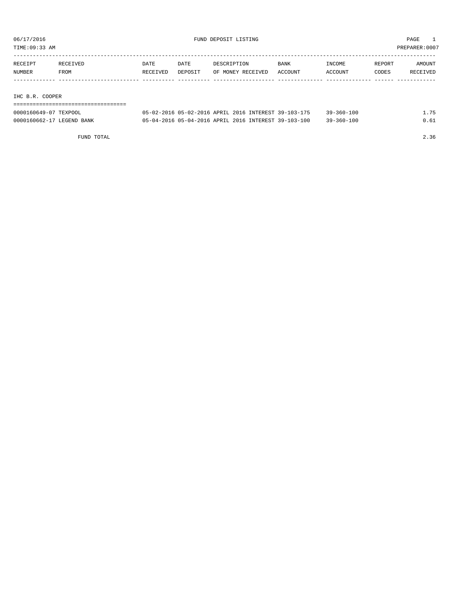TIME:09:33 AM PREPARER:0007

| RECEIPT | RECEIVED | DATE     | DATE    | DESCRIPTION       | <b>BANK</b> | INCOME  | REPORT | AMOUNT   |
|---------|----------|----------|---------|-------------------|-------------|---------|--------|----------|
| NUMBER  | FROM     | RECEIVED | DEPOSIT | OF MONEY RECEIVED | ACCOUNT     | ACCOUNT | CODES  | RECEIVED |
|         |          |          |         |                   |             |         |        |          |
|         |          |          |         |                   |             |         |        |          |

IHC B.R. COOPER

| ------------------------- |                                                      |  |                  |      |
|---------------------------|------------------------------------------------------|--|------------------|------|
| 0000160649-07 TEXPOOL     | 05-02-2016 05-02-2016 APRIL 2016 INTEREST 39-103-175 |  | $39 - 360 - 100$ | 1.75 |
| 0000160662-17 LEGEND BANK | 05-04-2016 05-04-2016 APRIL 2016 INTEREST 39-103-100 |  | $39 - 360 - 100$ | 0.61 |

FUND TOTAL 2.36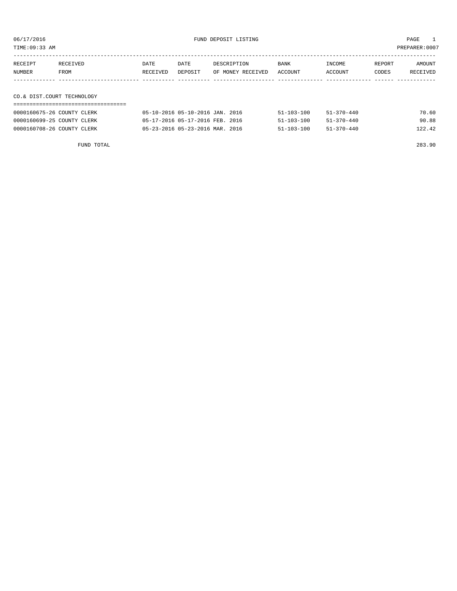06/17/2016 FUND DEPOSIT LISTING PAGE 1

| RECEIPT                    | RECEIVED | DATE     | DATE    | DESCRIPTION       | BANK    | INCOME  | REPORT | AMOUNT   |
|----------------------------|----------|----------|---------|-------------------|---------|---------|--------|----------|
| NUMBER                     | FROM     | RECEIVED | DEPOSIT | OF MONEY RECEIVED | ACCOUNT | ACCOUNT | CODES  | RECEIVED |
|                            |          |          |         |                   |         |         |        |          |
|                            |          |          |         |                   |         |         |        |          |
| CO.& DIST.COURT TECHNOLOGY |          |          |         |                   |         |         |        |          |

## ===================================

| 0000160675-26 COUNTY CLERK | 05-10-2016 05-10-2016 JAN. 2016 | $51 - 103 - 100$<br>$51 - 370 - 440$ | 70.60  |
|----------------------------|---------------------------------|--------------------------------------|--------|
| 0000160699-25 COUNTY CLERK | 05-17-2016 05-17-2016 FEB. 2016 | $51 - 103 - 100$<br>$51 - 370 - 440$ | 90.88  |
| 0000160708-26 COUNTY CLERK | 05-23-2016 05-23-2016 MAR. 2016 | $51 - 103 - 100$<br>$51 - 370 - 440$ | 122.42 |

FUND TOTAL 283.90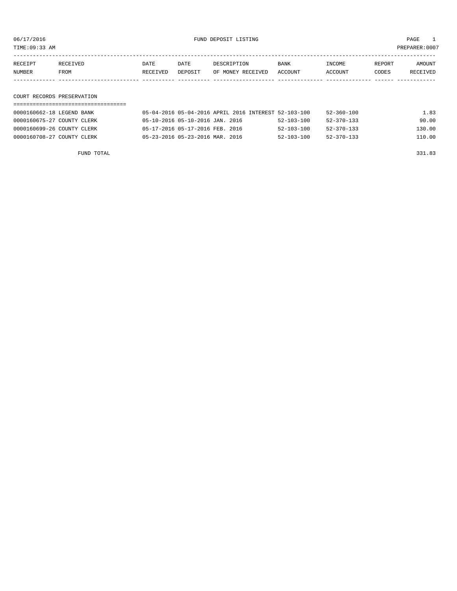TIME:09:33 AM PREPARER:0007

| <b>NUMBER</b> | FROM            | RECEIVED | DEPOSIT | OF MONEY RECEIVED | ACCOUNT | ACCOUNT | CODES  | <b>RECEIVED</b> |
|---------------|-----------------|----------|---------|-------------------|---------|---------|--------|-----------------|
| RECEIPT       | <b>RECEIVED</b> | DATE     | DATE    | DESCRIPTION       | BANK    | TNCOME. | REPORT | AMOUNT          |
|               |                 |          |         |                   |         |         |        |                 |

## COURT RECORDS PRESERVATION

| 0000160662-18 LEGEND BANK  | 05-04-2016 05-04-2016 APRIL 2016 INTEREST 52-103-100 |                  | 52-360-100       | 1.83   |
|----------------------------|------------------------------------------------------|------------------|------------------|--------|
| 0000160675-27 COUNTY CLERK | 05-10-2016 05-10-2016 JAN. 2016                      | 52-103-100       | 52-370-133       | 90.00  |
| 0000160699-26 COUNTY CLERK | 05-17-2016 05-17-2016 FEB. 2016                      | $52 - 103 - 100$ | $52 - 370 - 133$ | 130.00 |
| 0000160708-27 COUNTY CLERK | 05-23-2016 05-23-2016 MAR. 2016                      | $52 - 103 - 100$ | $52 - 370 - 133$ | 110.00 |

FUND TOTAL 331.83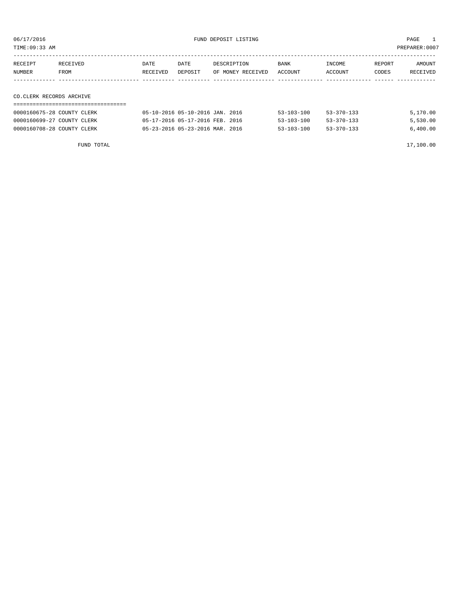| TIME:09:33 AM            |          |          |         |                   |             |         |        | PREPARER: 0007 |
|--------------------------|----------|----------|---------|-------------------|-------------|---------|--------|----------------|
| RECEIPT                  | RECEIVED | DATE     | DATE    | DESCRIPTION       | <b>BANK</b> | INCOME  | REPORT | AMOUNT         |
| NUMBER                   | FROM     | RECEIVED | DEPOSIT | OF MONEY RECEIVED | ACCOUNT     | ACCOUNT | CODES  | RECEIVED       |
|                          |          |          |         |                   |             |         |        |                |
|                          |          |          |         |                   |             |         |        |                |
| CO.CLERK RECORDS ARCHIVE |          |          |         |                   |             |         |        |                |
|                          |          |          |         |                   |             |         |        |                |

| 0000160675-28 COUNTY CLERK | 05-10-2016 05-10-2016 JAN. 2016 | $53 - 370 - 133$<br>$53 - 103 - 100$ | 5,170.00 |
|----------------------------|---------------------------------|--------------------------------------|----------|
| 0000160699-27 COUNTY CLERK | 05-17-2016 05-17-2016 FEB. 2016 | $53 - 370 - 133$<br>$53 - 103 - 100$ | 5,530.00 |
| 0000160708-28 COUNTY CLERK | 05-23-2016 05-23-2016 MAR. 2016 | $53 - 370 - 133$<br>$53 - 103 - 100$ | 6,400.00 |
|                            |                                 |                                      |          |

FUND TOTAL 17,100.00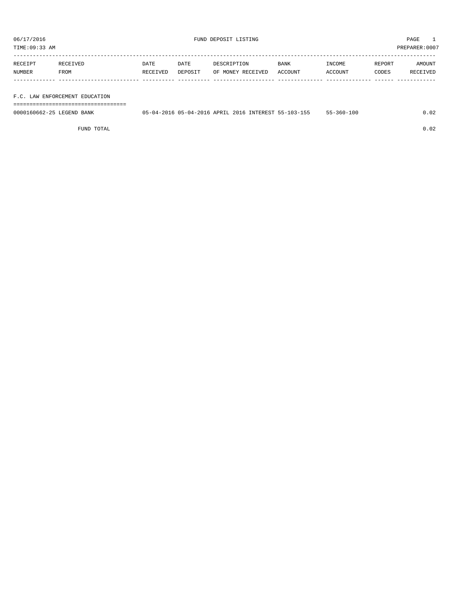TIME:09:33 AM PREPARER:0007

| RECEIPT | <b>RECEIVED</b> | DATE     | DATE    | DESCRIPTION       | <b>BANK</b> | INCOME         | REPORT | AMOUNT   |
|---------|-----------------|----------|---------|-------------------|-------------|----------------|--------|----------|
| NUMBER  | <b>FROM</b>     | RECEIVED | DEPOSIT | OF MONEY RECEIVED | ACCOUNT     | <b>ACCOUNT</b> | CODES  | RECEIVED |
|         |                 |          |         |                   |             |                |        |          |

## F.C. LAW ENFORCEMENT EDUCATION

===================================

| 0000160662-25 LEGEND BANK | 05-04-2016 05-04-2016 APRIL 2016 |  |  | INTEREST 55-103-155 | -360-100 |  |
|---------------------------|----------------------------------|--|--|---------------------|----------|--|
|                           |                                  |  |  |                     |          |  |

FUND TOTAL 0.02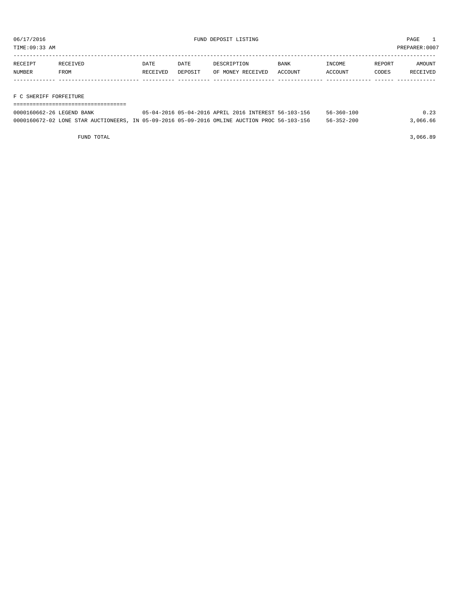TIME:09:33 AM PREPARER:0007

| RECEIPT | RECEIVED | DATE     | DATE    | DESCRIPTION       | <b>BANK</b> | INCOME  | REPORT | AMOUNT   |
|---------|----------|----------|---------|-------------------|-------------|---------|--------|----------|
| NUMBER  | FROM     | RECEIVED | DEPOSIT | OF MONEY RECEIVED | ACCOUNT     | ACCOUNT | CODES  | RECEIVED |
|         |          |          |         |                   |             |         |        |          |

## F C SHERIFF FORFEITURE

| 0000160662-26 LEGEND BANK | 05-04-2016 05-04-2016 APRIL 2016 INTEREST 56-103-156                                         | 56-360-100       | 0.23     |
|---------------------------|----------------------------------------------------------------------------------------------|------------------|----------|
|                           | 0000160672-02 LONE STAR AUCTIONEERS, IN 05-09-2016 05-09-2016 OMLINE AUCTION PROC 56-103-156 | $56 - 352 - 200$ | 3,066.66 |

FUND TOTAL 3,066.89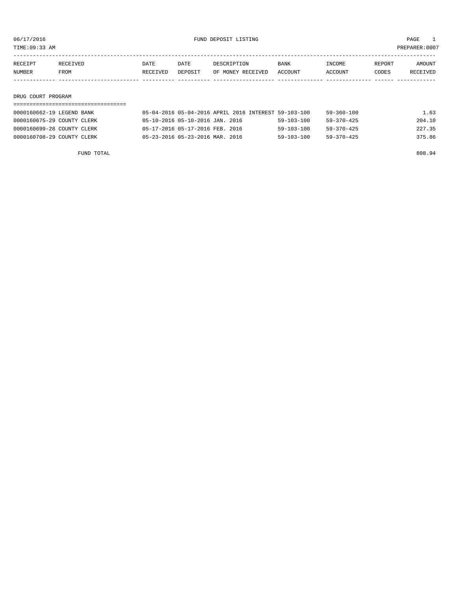TIME:09:33 AM PREPARER:0007

| RECEIPT       | <b>RECEIVED</b> | DATE     | DATE    | DESCRIPTION       | BANK           | <b>NCOME</b> | REPORT | AMOUNT          |
|---------------|-----------------|----------|---------|-------------------|----------------|--------------|--------|-----------------|
| <b>NUMBER</b> | FROM            | RECEIVED | DEPOSIT | OF MONEY RECEIVED | <b>ACCOUNT</b> | CCOUNT       | CODES  | <b>RECEIVED</b> |
|               |                 |          |         |                   |                |              |        |                 |

## DRUG COURT PROGRAM

| 0000160662-19 LEGEND BANK  | 05-04-2016 05-04-2016 APRIL 2016 INTEREST 59-103-100 |                  | 59-360-100       | 1.63   |
|----------------------------|------------------------------------------------------|------------------|------------------|--------|
| 0000160675-29 COUNTY CLERK | 05-10-2016 05-10-2016 JAN. 2016                      | $59 - 103 - 100$ | $59 - 370 - 425$ | 204.10 |
| 0000160699-28 COUNTY CLERK | 05-17-2016 05-17-2016 FEB. 2016                      | $59 - 103 - 100$ | $59 - 370 - 425$ | 227.35 |
| 0000160708-29 COUNTY CLERK | 05-23-2016 05-23-2016 MAR. 2016                      | $59 - 103 - 100$ | $59 - 370 - 425$ | 375.86 |

FUND TOTAL 808.94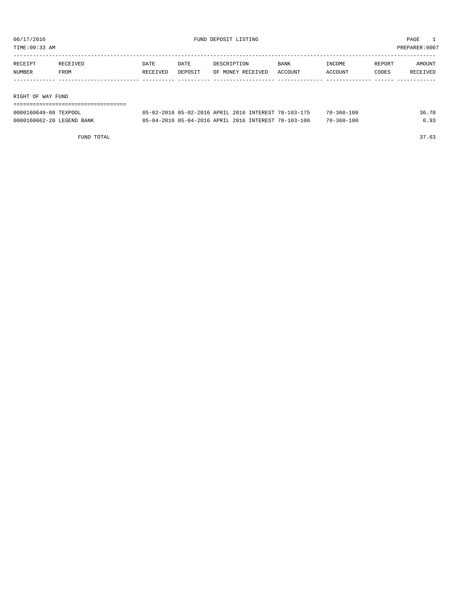TIME:09:33 AM PREPARER:0007

| RECEIPT | RECEIVED | <b>DATE</b> | DATE    | DESCRIPTION       | BANK    | INCOME  | REPORT | AMOUNT   |
|---------|----------|-------------|---------|-------------------|---------|---------|--------|----------|
| NUMBER  | FROM     | RECEIVED    | DEPOSIT | OF MONEY RECEIVED | ACCOUNT | ACCOUNT | CODES  | RECEIVED |
|         |          |             |         |                   |         |         |        |          |
|         |          |             |         |                   |         |         |        |          |

RIGHT OF WAY FUND

| -------------------------- |                                                      |  |  |            |       |
|----------------------------|------------------------------------------------------|--|--|------------|-------|
| 0000160649-08 TEXPOOL      | 05-02-2016 05-02-2016 APRIL 2016 INTEREST 70-103-175 |  |  | 70-360-100 | 36.70 |
| 0000160662-20 LEGEND BANK  | 05-04-2016 05-04-2016 APRIL 2016 INTEREST 70-103-100 |  |  | 70-360-100 | 0.93  |

FUND TOTAL 37.63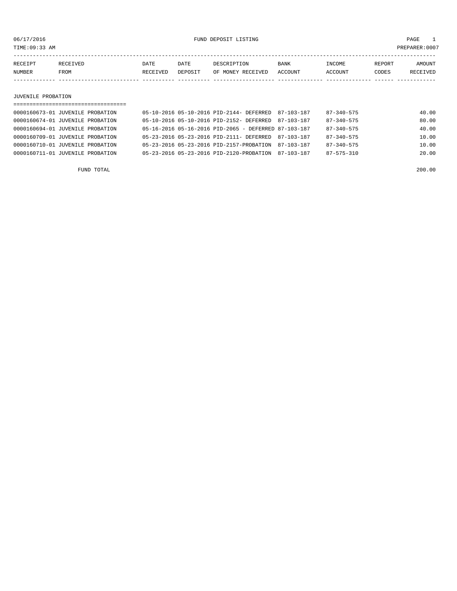06/17/2016 FUND DEPOSIT LISTING PAGE 1

| RECEIPT | <b>RECEIVED</b> | DATE     | DATE    | DESCRIPTION       | <b>BANK</b> | <b>TNCOME</b> | <b>REPORT</b> | AMOUNT          |
|---------|-----------------|----------|---------|-------------------|-------------|---------------|---------------|-----------------|
| NUMBER  | FROM            | RECEIVED | DEPOSIT | OF MONEY RECEIVED | ACCOUNT     | ACCOUNT       | CODES         | <b>RECEIVED</b> |
|         |                 |          |         |                   |             |               |               |                 |

## JUVENILE PROBATION

| ==================================== |                                                        |                  |       |
|--------------------------------------|--------------------------------------------------------|------------------|-------|
| 0000160673-01 JUVENILE PROBATION     | 05-10-2016 05-10-2016 PID-2144- DEFERRED<br>87-103-187 | $87 - 340 - 575$ | 40.00 |
| 0000160674-01 JUVENILE PROBATION     | 05-10-2016 05-10-2016 PID-2152- DEFERRED 87-103-187    | $87 - 340 - 575$ | 80.00 |
| 0000160694-01 JUVENILE PROBATION     | 05-16-2016 05-16-2016 PID-2065 - DEFERRED 87-103-187   | $87 - 340 - 575$ | 40.00 |
| 0000160709-01 JUVENILE PROBATION     | 05-23-2016 05-23-2016 PID-2111- DEFERRED 87-103-187    | $87 - 340 - 575$ | 10.00 |
| 0000160710-01 JUVENILE PROBATION     | 05-23-2016 05-23-2016 PID-2157-PROBATION<br>87-103-187 | 87-340-575       | 10.00 |
| 0000160711-01 JUVENILE PROBATION     | 05-23-2016 05-23-2016 PID-2120-PROBATION<br>87-103-187 | $87 - 575 - 310$ | 20.00 |
|                                      |                                                        |                  |       |

FUND TOTAL 200.00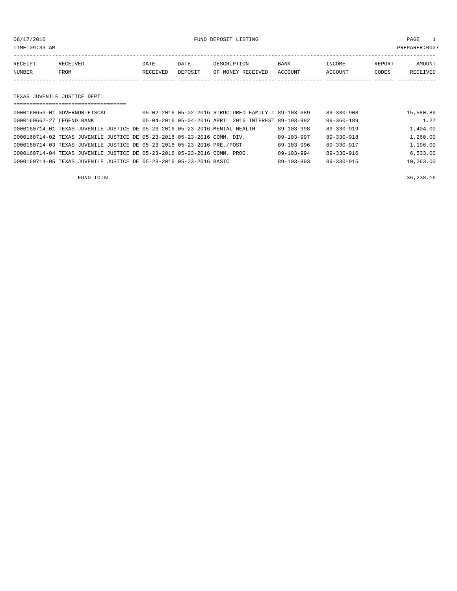## 06/17/2016 FUND DEPOSIT LISTING PAGE 1

| RECEIPT | <b>RECEIVED</b> | DATE     | DATE    | DESCRIPTION       | BANK    | INCOME  | REPORT | <b>AMOUNT</b>   |
|---------|-----------------|----------|---------|-------------------|---------|---------|--------|-----------------|
| NUMBER  | FROM            | RECEIVED | DEPOSIT | OF MONEY RECEIVED | ACCOUNT | ACCOUNT | CODES  | <b>RECEIVED</b> |
|         |                 |          |         |                   |         |         |        |                 |

## TEXAS JUVENILE JUSTICE DEPT.

| ==================================                                          |  |                                                      |                  |           |  |  |
|-----------------------------------------------------------------------------|--|------------------------------------------------------|------------------|-----------|--|--|
| 0000160653-01 GOVERNOR-FISCAL                                               |  | 05-02-2016 05-02-2016 STRUCTURED FAMILY T 89-103-689 | $89 - 330 - 908$ | 15,580.89 |  |  |
| 0000160662-27 LEGEND BANK                                                   |  | 05-04-2016 05-04-2016 APRIL 2016 INTEREST 89-103-992 | $89 - 360 - 189$ | 1.27      |  |  |
| 0000160714-01 TEXAS JUVENILE JUSTICE DE 05-23-2016 05-23-2016 MENTAL HEALTH |  | $89 - 103 - 998$                                     | $89 - 330 - 919$ | 1,404.00  |  |  |
| 0000160714-02 TEXAS JUVENILE JUSTICE DE 05-23-2016 05-23-2016 COMM. DIV.    |  | $89 - 103 - 997$                                     | $89 - 330 - 918$ | 1,260.00  |  |  |
| 0000160714-03 TEXAS JUVENILE JUSTICE DE 05-23-2016 05-23-2016 PRE./POST     |  | $89 - 103 - 996$                                     | $89 - 330 - 917$ | 1,196.00  |  |  |
| 0000160714-04 TEXAS JUVENILE JUSTICE DE 05-23-2016 05-23-2016 COMM. PROG.   |  | $89 - 103 - 994$                                     | $89 - 330 - 916$ | 6.533.00  |  |  |
| 0000160714-05 TEXAS JUVENILE JUSTICE DE 05-23-2016 05-23-2016 BASIC         |  | $89 - 103 - 993$                                     | $89 - 330 - 915$ | 10,263.00 |  |  |

FUND TOTAL 36,238.16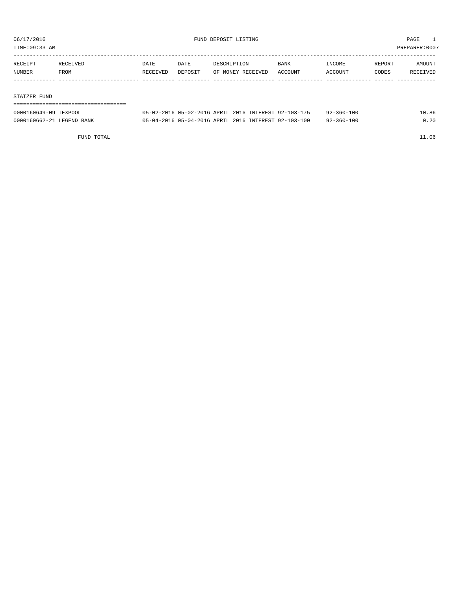TIME:09:33 AM PREPARER:0007

| RECEIPT | <b>RECEIVED</b> | DATE     | DATE    | DESCRIPTION       | <b>BANK</b> | INCOME  | REPORT | AMOUNT   |
|---------|-----------------|----------|---------|-------------------|-------------|---------|--------|----------|
| NUMBER  | FROM            | RECEIVED | DEPOSIT | OF MONEY RECEIVED | ACCOUNT     | ACCOUNT | CODES  | RECEIVED |
|         |                 |          |         |                   |             |         |        |          |

## STATZER FUND

=================================== 0000160649-09 TEXPOOL 05-02-2016 05-02-2016 APRIL 2016 INTEREST 92-103-175 92-360-100 10.86 0000160662-21 LEGEND BANK 05-04-2016 05-04-2016 APRIL 2016 INTEREST 92-103-100 92-360-100 0.20

FUND TOTAL 11.06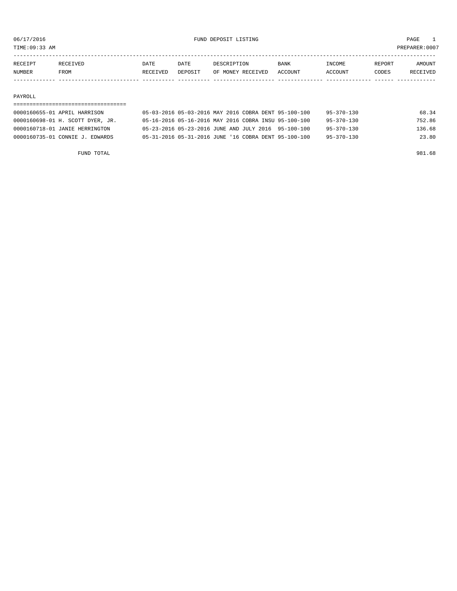TIME:09:33 AM PREPARER:0007

| RECEIPT       | RECEIVED    | DATE     | DATE    | DESCRIPTION       | <b>BANK</b> | <b>INCOME</b> | REPORT | AMOUNT          |
|---------------|-------------|----------|---------|-------------------|-------------|---------------|--------|-----------------|
| <b>NUMBER</b> | <b>FROM</b> | RECEIVED | DEPOSIT | OF MONEY RECEIVED | ACCOUNT     | ACCOUNT       | CODES  | <b>RECEIVED</b> |
|               |             |          |         |                   |             |               |        |                 |

## PAYROLL

## =================================== 0000160655-01 APRIL HARRISON 05-03-2016 05-03-2016 MAY 2016 COBRA DENT 95-100-100 95-370-130 68.34

| 0000160698-01 H. SCOTT DYER, JR. | 05-16-2016 05-16-2016 MAY 2016 COBRA INSU 95-100-100 |  | $95 - 370 - 130$ | 752.86 |
|----------------------------------|------------------------------------------------------|--|------------------|--------|
| 0000160718-01 JANIE HERRINGTON   | 05-23-2016 05-23-2016 JUNE AND JULY 2016 95-100-100  |  | $95 - 370 - 130$ | 136.68 |
| 0000160735-01 CONNIE J. EDWARDS  | 05-31-2016 05-31-2016 JUNE '16 COBRA DENT 95-100-100 |  | $95 - 370 - 130$ | 23.80  |

FUND TOTAL 981.68